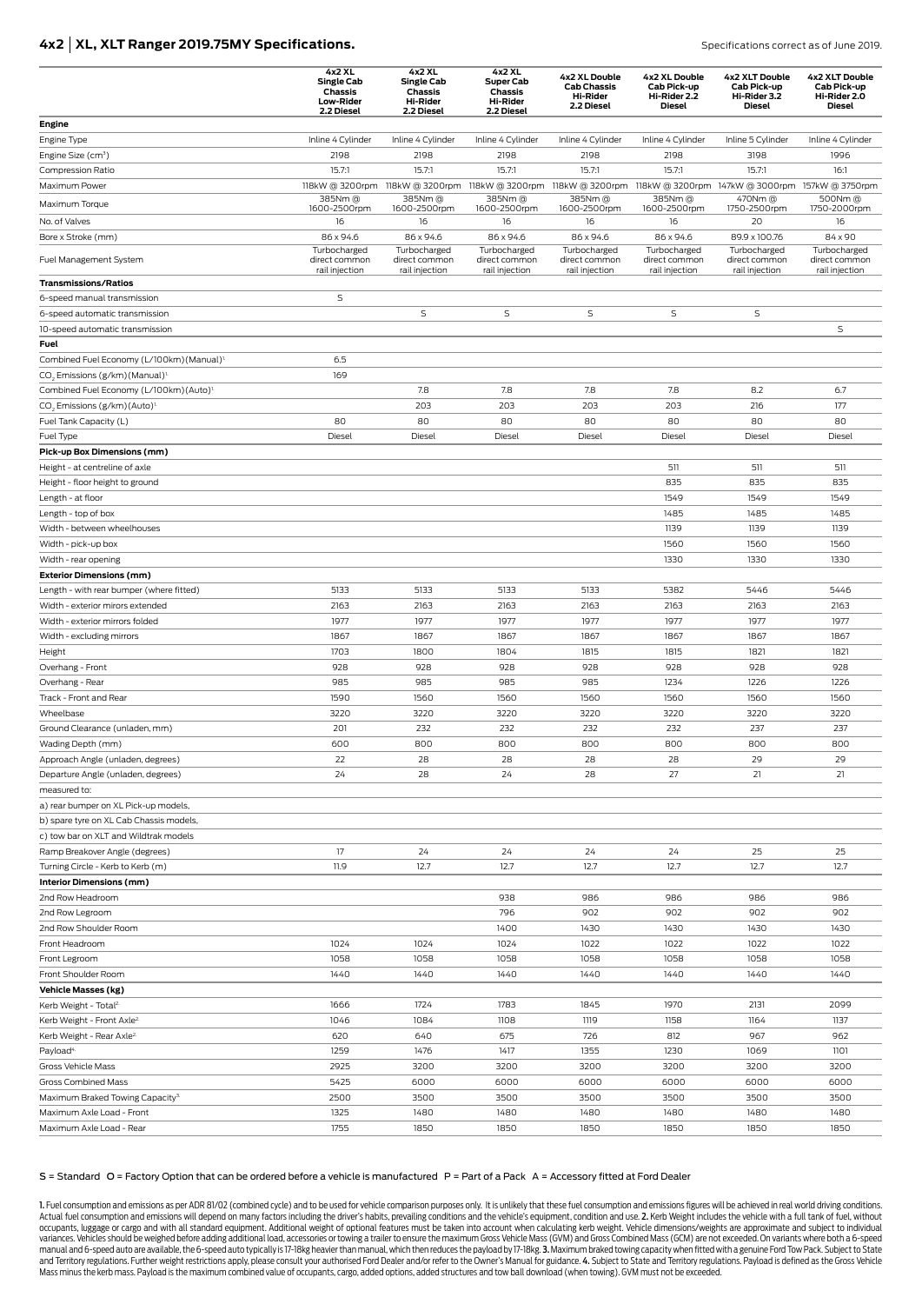# **4x2 | XL, XLT Ranger 2019.75MY Specifications. Specifications correct as of June 2019. Specifications correct as of June 2019.**

|                                                               | 4x2 XL<br><b>Single Cab</b><br>Chassis<br><b>Low-Rider</b> | 4x2 XL<br><b>Single Cab</b><br><b>Chassis</b><br><b>Hi-Rider</b> | 4x2 XL<br><b>Super Cab</b><br>Chassis<br><b>Hi-Rider</b> | 4x2 XL Double<br><b>Cab Chassis</b><br><b>Hi-Rider</b><br>2.2 Diesel | 4x2 XL Double<br>Cab Pick-up<br>Hi-Rider 2.2<br><b>Diesel</b> | 4x2 XLT Double<br>Cab Pick-up<br>Hi-Rider 3.2<br><b>Diesel</b> | 4x2 XLT Double<br>Cab Pick-up<br>Hi-Rider 2.0<br><b>Diesel</b> |
|---------------------------------------------------------------|------------------------------------------------------------|------------------------------------------------------------------|----------------------------------------------------------|----------------------------------------------------------------------|---------------------------------------------------------------|----------------------------------------------------------------|----------------------------------------------------------------|
|                                                               | 2.2 Diesel                                                 | 2.2 Diesel                                                       | 2.2 Diesel                                               |                                                                      |                                                               |                                                                |                                                                |
| Engine<br>Engine Type                                         | Inline 4 Cylinder                                          | Inline 4 Cylinder                                                | Inline 4 Cylinder                                        | Inline 4 Cylinder                                                    | Inline 4 Cylinder                                             | Inline 5 Cylinder                                              | Inline 4 Cylinder                                              |
| Engine Size (cm <sup>3</sup> )                                | 2198                                                       | 2198                                                             | 2198                                                     | 2198                                                                 | 2198                                                          | 3198                                                           | 1996                                                           |
| Compression Ratio                                             | 15.7:1                                                     | 15.7:1                                                           | 15.7:1                                                   | 15.7:1                                                               | 15.7:1                                                        | 15.7:1                                                         | 16:1                                                           |
| Maximum Power                                                 | 118kW @ 3200rpm                                            |                                                                  | 118kW @ 3200rpm 118kW @ 3200rpm                          | 118kW @ 3200rpm                                                      |                                                               | 118kW @ 3200rpm 147kW @ 3000rpm 157kW @ 3750rpm                |                                                                |
| Maximum Torque                                                | 385Nm @                                                    | 385Nm @                                                          | 385Nm @                                                  | 385Nm @                                                              | 385Nm @                                                       | 470Nm@                                                         | 500Nm@                                                         |
|                                                               | 1600-2500rpm                                               | 1600-2500rpm                                                     | 1600-2500rpm                                             | 1600-2500rpm                                                         | 1600-2500rpm                                                  | 1750-2500rpm                                                   | 1750-2000rpm                                                   |
| No. of Valves                                                 | 16<br>86 x 94.6                                            | 16<br>86 x 94.6                                                  | 16<br>86 x 94.6                                          | 16                                                                   | 16<br>86 x 94.6                                               | 20<br>89.9 x 100.76                                            | 16<br>84 x 90                                                  |
| Bore x Stroke (mm)                                            | Turbocharged                                               | Turbocharged                                                     | Turbocharged                                             | 86 x 94.6<br>Turbocharged                                            | Turbocharged                                                  | Turbocharged                                                   | Turbocharged                                                   |
| Fuel Management System                                        | direct common<br>rail injection                            | direct common                                                    | direct common                                            | direct common                                                        | direct common                                                 | direct common                                                  | direct common<br>rail injection                                |
| <b>Transmissions/Ratios</b>                                   |                                                            | rail injection                                                   | rail injection                                           | rail injection                                                       | rail injection                                                | rail injection                                                 |                                                                |
| 6-speed manual transmission                                   | $\mathsf S$                                                |                                                                  |                                                          |                                                                      |                                                               |                                                                |                                                                |
| 6-speed automatic transmission                                |                                                            | S                                                                | S                                                        | S                                                                    | S                                                             | S                                                              |                                                                |
| 10-speed automatic transmission                               |                                                            |                                                                  |                                                          |                                                                      |                                                               |                                                                | S                                                              |
| Fuel                                                          |                                                            |                                                                  |                                                          |                                                                      |                                                               |                                                                |                                                                |
| Combined Fuel Economy (L/100km) (Manual) <sup>1.</sup>        | 6.5                                                        |                                                                  |                                                          |                                                                      |                                                               |                                                                |                                                                |
| CO <sub>2</sub> Emissions (g/km) (Manual) <sup>1</sup>        | 169                                                        |                                                                  |                                                          |                                                                      |                                                               |                                                                |                                                                |
| Combined Fuel Economy (L/100km) (Auto) <sup>1.</sup>          |                                                            | 7.8                                                              | 7.8                                                      | 7.8                                                                  | 7.8                                                           | 8.2                                                            | 6.7                                                            |
| CO <sub>2</sub> Emissions (g/km) (Auto) <sup>1</sup>          |                                                            | 203                                                              | 203                                                      | 203                                                                  | 203                                                           | 216                                                            | 177                                                            |
| Fuel Tank Capacity (L)                                        | 80                                                         | 80                                                               | 80                                                       | 80                                                                   | 80                                                            | 80                                                             | 80                                                             |
| Fuel Type                                                     | Diesel                                                     | Diesel                                                           | Diesel                                                   | Diesel                                                               | Diesel                                                        | Diesel                                                         | Diesel                                                         |
| Pick-up Box Dimensions (mm)                                   |                                                            |                                                                  |                                                          |                                                                      |                                                               |                                                                |                                                                |
| Height - at centreline of axle                                |                                                            |                                                                  |                                                          |                                                                      | 511                                                           | 511                                                            | 511                                                            |
| Height - floor height to ground                               |                                                            |                                                                  |                                                          |                                                                      | 835                                                           | 835                                                            | 835                                                            |
| Length - at floor                                             |                                                            |                                                                  |                                                          |                                                                      | 1549                                                          | 1549                                                           | 1549                                                           |
| Length - top of box                                           |                                                            |                                                                  |                                                          |                                                                      | 1485                                                          | 1485                                                           | 1485                                                           |
| Width - between wheelhouses                                   |                                                            |                                                                  |                                                          |                                                                      | 1139                                                          | 1139                                                           | 1139                                                           |
| Width - pick-up box                                           |                                                            |                                                                  |                                                          |                                                                      | 1560<br>1330                                                  | 1560<br>1330                                                   | 1560<br>1330                                                   |
| Width - rear opening<br><b>Exterior Dimensions (mm)</b>       |                                                            |                                                                  |                                                          |                                                                      |                                                               |                                                                |                                                                |
| Length - with rear bumper (where fitted)                      | 5133                                                       | 5133                                                             | 5133                                                     | 5133                                                                 | 5382                                                          | 5446                                                           | 5446                                                           |
| Width - exterior mirors extended                              | 2163                                                       | 2163                                                             | 2163                                                     | 2163                                                                 | 2163                                                          | 2163                                                           | 2163                                                           |
| Width - exterior mirrors folded                               | 1977                                                       | 1977                                                             | 1977                                                     | 1977                                                                 | 1977                                                          | 1977                                                           | 1977                                                           |
| Width - excluding mirrors                                     | 1867                                                       | 1867                                                             | 1867                                                     | 1867                                                                 | 1867                                                          | 1867                                                           | 1867                                                           |
| Height                                                        | 1703                                                       | 1800                                                             | 1804                                                     | 1815                                                                 | 1815                                                          | 1821                                                           | 1821                                                           |
| Overhang - Front                                              | 928                                                        | 928                                                              | 928                                                      | 928                                                                  | 928                                                           | 928                                                            | 928                                                            |
| Overhang - Rear                                               | 985                                                        | 985                                                              | 985                                                      | 985                                                                  | 1234                                                          | 1226                                                           | 1226                                                           |
| Track - Front and Rear                                        | 1590                                                       | 1560                                                             | 1560                                                     | 1560                                                                 | 1560                                                          | 1560                                                           | 1560                                                           |
| Wheelbase                                                     | 3220                                                       | 3220                                                             | 3220                                                     | 3220                                                                 | 3220                                                          | 3220                                                           | 3220                                                           |
| Ground Clearance (unladen, mm)                                | 201                                                        | 232                                                              | 232                                                      | 232                                                                  | 232                                                           | 237                                                            | 237                                                            |
| Wading Depth (mm)                                             | 600                                                        | 800                                                              | 800                                                      | 800                                                                  | 800                                                           | 800                                                            | 800                                                            |
| Approach Angle (unladen, degrees)                             | 22                                                         | 28                                                               | 28                                                       | 28                                                                   | 28                                                            | 29                                                             | 29                                                             |
| Departure Angle (unladen, degrees)                            | 24                                                         | 28                                                               | 24                                                       | 28                                                                   | 27                                                            | 21                                                             | 21                                                             |
| measured to:                                                  |                                                            |                                                                  |                                                          |                                                                      |                                                               |                                                                |                                                                |
| a) rear bumper on XL Pick-up models,                          |                                                            |                                                                  |                                                          |                                                                      |                                                               |                                                                |                                                                |
| b) spare tyre on XL Cab Chassis models,                       |                                                            |                                                                  |                                                          |                                                                      |                                                               |                                                                |                                                                |
| c) tow bar on XLT and Wildtrak models                         |                                                            |                                                                  |                                                          |                                                                      |                                                               |                                                                |                                                                |
| Ramp Breakover Angle (degrees)                                | 17                                                         | 24                                                               | 24                                                       | 24                                                                   | 24                                                            | 25                                                             | 25                                                             |
| Turning Circle - Kerb to Kerb (m)<br>Interior Dimensions (mm) | 11.9                                                       | 12.7                                                             | 12.7                                                     | 12.7                                                                 | 12.7                                                          | 12.7                                                           | 12.7                                                           |
| 2nd Row Headroom                                              |                                                            |                                                                  | 938                                                      | 986                                                                  | 986                                                           | 986                                                            | 986                                                            |
| 2nd Row Legroom                                               |                                                            |                                                                  | 796                                                      | 902                                                                  | 902                                                           | 902                                                            | 902                                                            |
| 2nd Row Shoulder Room                                         |                                                            |                                                                  | 1400                                                     | 1430                                                                 | 1430                                                          | 1430                                                           | 1430                                                           |
| Front Headroom                                                | 1024                                                       | 1024                                                             | 1024                                                     | 1022                                                                 | 1022                                                          | 1022                                                           | 1022                                                           |
| Front Legroom                                                 | 1058                                                       | 1058                                                             | 1058                                                     | 1058                                                                 | 1058                                                          | 1058                                                           | 1058                                                           |
| Front Shoulder Room                                           | 1440                                                       | 1440                                                             | 1440                                                     | 1440                                                                 | 1440                                                          | 1440                                                           | 1440                                                           |
| <b>Vehicle Masses (kg)</b>                                    |                                                            |                                                                  |                                                          |                                                                      |                                                               |                                                                |                                                                |
| Kerb Weight - Total <sup>2</sup>                              | 1666                                                       | 1724                                                             | 1783                                                     | 1845                                                                 | 1970                                                          | 2131                                                           | 2099                                                           |
| Kerb Weight - Front Axle <sup>2.</sup>                        | 1046                                                       | 1084                                                             | 1108                                                     | 1119                                                                 | 1158                                                          | 1164                                                           | 1137                                                           |
| Kerb Weight - Rear Axle <sup>2.</sup>                         | 620                                                        | 640                                                              | 675                                                      | 726                                                                  | 812                                                           | 967                                                            | 962                                                            |
| Payload <sup>4.</sup>                                         | 1259                                                       | 1476                                                             | 1417                                                     | 1355                                                                 | 1230                                                          | 1069                                                           | 1101                                                           |
| Gross Vehicle Mass                                            | 2925                                                       | 3200                                                             | 3200                                                     | 3200                                                                 | 3200                                                          | 3200                                                           | 3200                                                           |
| Gross Combined Mass                                           | 5425                                                       | 6000                                                             | 6000                                                     | 6000                                                                 | 6000                                                          | 6000                                                           | 6000                                                           |
| Maximum Braked Towing Capacity <sup>3.</sup>                  | 2500                                                       | 3500                                                             | 3500                                                     | 3500                                                                 | 3500                                                          | 3500                                                           | 3500                                                           |
| Maximum Axle Load - Front                                     | 1325                                                       | 1480                                                             | 1480                                                     | 1480                                                                 | 1480                                                          | 1480                                                           | 1480                                                           |
| Maximum Axle Load - Rear                                      | 1755                                                       | 1850                                                             | 1850                                                     | 1850                                                                 | 1850                                                          | 1850                                                           | 1850                                                           |

### S = Standard O = Factory Option that can be ordered before a vehicle is manufactured P = Part of a Pack A = Accessory fitted at Ford Dealer

1. Fuel consumption and emissions as per ADR 81/02 (combined cycle) and to be used for vehicle comparison purposes only. It is unlikely that these fuel consumption and emissions figures will be achieved in real world drivi Actual fuel consumption and emissions will depend on many factors including the driver's habits, prevailing conditions and the vehicle's equipment, condition and use. 2. Kerb Weight includes the vehicle with a full tank of Mass minus the kerb mass. Payload is the maximum combined value of occupants, cargo, added options, added structures and tow ball download (when towing). GVM must not be exceeded.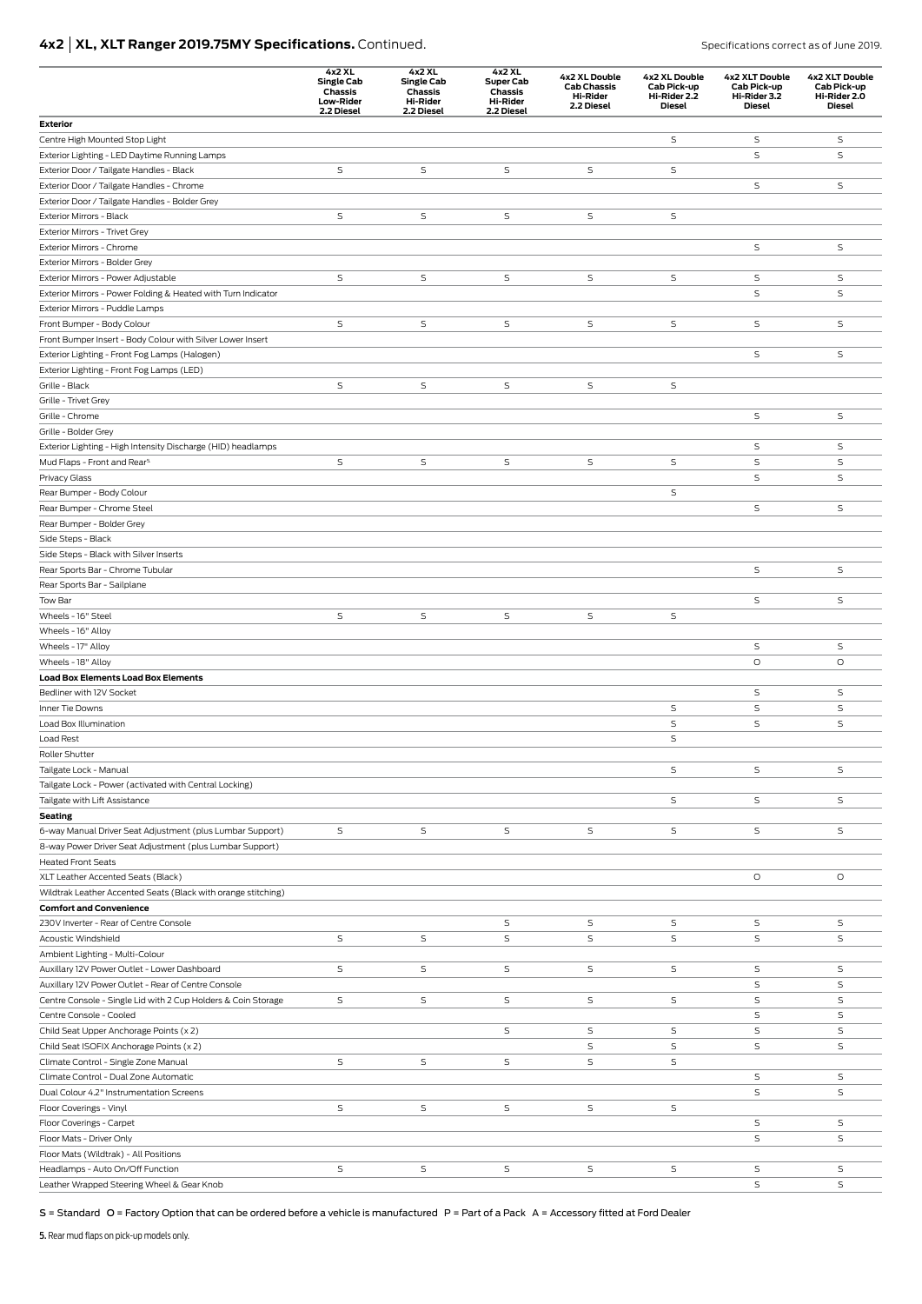# **4x2 | XL, XLT Ranger 2019.75MY Specifications.** Continued. **Specifications correct as of June 2019.** Specifications correct as of June 2019.

|                                                                                       | 4x2 XL<br><b>Single Cab</b><br>Chassis<br>Low-Rider<br>2.2 Diesel | 4x2 XL<br><b>Single Cab</b><br>Chassis<br>Hi-Rider<br>2.2 Diesel | 4x2 XL<br><b>Super Cab</b><br>Chassis<br><b>Hi-Rider</b><br>2.2 Diesel | 4x2 XL Double<br><b>Cab Chassis</b><br><b>Hi-Rider</b><br>2.2 Diesel | 4x2 XL Double<br>Cab Pick-up<br>Hi-Rider 2.2<br>Diesel | 4x2 XLT Double<br>Cab Pick-up<br>Hi-Rider 3.2<br>Diesel | <b>4x2 XLT Double</b><br>Cab Pick-up<br>Hi-Rider 2.0<br><b>Diesel</b> |
|---------------------------------------------------------------------------------------|-------------------------------------------------------------------|------------------------------------------------------------------|------------------------------------------------------------------------|----------------------------------------------------------------------|--------------------------------------------------------|---------------------------------------------------------|-----------------------------------------------------------------------|
| <b>Exterior</b>                                                                       |                                                                   |                                                                  |                                                                        |                                                                      |                                                        |                                                         |                                                                       |
| Centre High Mounted Stop Light                                                        |                                                                   |                                                                  |                                                                        |                                                                      | S                                                      | S                                                       | S                                                                     |
| Exterior Lighting - LED Daytime Running Lamps                                         |                                                                   |                                                                  |                                                                        |                                                                      |                                                        | S                                                       | S                                                                     |
| Exterior Door / Tailgate Handles - Black<br>Exterior Door / Tailgate Handles - Chrome | S                                                                 | S                                                                | S                                                                      | S                                                                    | $\mathsf S$                                            | $\mathsf S$                                             | S                                                                     |
| Exterior Door / Tailgate Handles - Bolder Grey                                        |                                                                   |                                                                  |                                                                        |                                                                      |                                                        |                                                         |                                                                       |
| Exterior Mirrors - Black                                                              | S                                                                 | $\mathsf S$                                                      | S                                                                      | S                                                                    | S                                                      |                                                         |                                                                       |
| Exterior Mirrors - Trivet Grey                                                        |                                                                   |                                                                  |                                                                        |                                                                      |                                                        |                                                         |                                                                       |
| Exterior Mirrors - Chrome                                                             |                                                                   |                                                                  |                                                                        |                                                                      |                                                        | S                                                       | S                                                                     |
| Exterior Mirrors - Bolder Grey                                                        |                                                                   |                                                                  |                                                                        |                                                                      |                                                        |                                                         |                                                                       |
| Exterior Mirrors - Power Adjustable                                                   | S                                                                 | S                                                                | S                                                                      | S                                                                    | S                                                      | S                                                       | S                                                                     |
| Exterior Mirrors - Power Folding & Heated with Turn Indicator                         |                                                                   |                                                                  |                                                                        |                                                                      |                                                        | S                                                       | S                                                                     |
| Exterior Mirrors - Puddle Lamps                                                       |                                                                   |                                                                  |                                                                        |                                                                      |                                                        |                                                         |                                                                       |
| Front Bumper - Body Colour                                                            | $\mathsf S$                                                       | S                                                                | $\mathsf S$                                                            | S                                                                    | $\mathsf S$                                            | S                                                       | S                                                                     |
| Front Bumper Insert - Body Colour with Silver Lower Insert                            |                                                                   |                                                                  |                                                                        |                                                                      |                                                        |                                                         |                                                                       |
| Exterior Lighting - Front Fog Lamps (Halogen)                                         |                                                                   |                                                                  |                                                                        |                                                                      |                                                        | S                                                       | S                                                                     |
| Exterior Lighting - Front Fog Lamps (LED)                                             |                                                                   |                                                                  |                                                                        |                                                                      |                                                        |                                                         |                                                                       |
| Grille - Black                                                                        | S                                                                 | S                                                                | S                                                                      | S                                                                    | S                                                      |                                                         |                                                                       |
| Grille - Trivet Grey<br>Grille - Chrome                                               |                                                                   |                                                                  |                                                                        |                                                                      |                                                        | S                                                       | $\mathsf S$                                                           |
| Grille - Bolder Grey                                                                  |                                                                   |                                                                  |                                                                        |                                                                      |                                                        |                                                         |                                                                       |
| Exterior Lighting - High Intensity Discharge (HID) headlamps                          |                                                                   |                                                                  |                                                                        |                                                                      |                                                        | S                                                       | S                                                                     |
| Mud Flaps - Front and Rear <sup>5.</sup>                                              | $\mathsf S$                                                       | $\mathsf S$                                                      | $\mathsf S$                                                            | S                                                                    | $\mathsf S$                                            | $\mathsf S$                                             | S                                                                     |
| Privacy Glass                                                                         |                                                                   |                                                                  |                                                                        |                                                                      |                                                        | S                                                       | S                                                                     |
| Rear Bumper - Body Colour                                                             |                                                                   |                                                                  |                                                                        |                                                                      | S                                                      |                                                         |                                                                       |
| Rear Bumper - Chrome Steel                                                            |                                                                   |                                                                  |                                                                        |                                                                      |                                                        | S                                                       | $\mathsf S$                                                           |
| Rear Bumper - Bolder Grey                                                             |                                                                   |                                                                  |                                                                        |                                                                      |                                                        |                                                         |                                                                       |
| Side Steps - Black                                                                    |                                                                   |                                                                  |                                                                        |                                                                      |                                                        |                                                         |                                                                       |
| Side Steps - Black with Silver Inserts                                                |                                                                   |                                                                  |                                                                        |                                                                      |                                                        |                                                         |                                                                       |
| Rear Sports Bar - Chrome Tubular                                                      |                                                                   |                                                                  |                                                                        |                                                                      |                                                        | S                                                       | S                                                                     |
| Rear Sports Bar - Sailplane                                                           |                                                                   |                                                                  |                                                                        |                                                                      |                                                        |                                                         |                                                                       |
| Tow Bar                                                                               |                                                                   |                                                                  |                                                                        |                                                                      |                                                        | S                                                       | S                                                                     |
| Wheels - 16" Steel<br>Wheels - 16" Alloy                                              | S                                                                 | S                                                                | S                                                                      | S                                                                    | S                                                      |                                                         |                                                                       |
| Wheels - 17" Alloy                                                                    |                                                                   |                                                                  |                                                                        |                                                                      |                                                        | S                                                       | S                                                                     |
| Wheels - 18" Alloy                                                                    |                                                                   |                                                                  |                                                                        |                                                                      |                                                        | O                                                       | $\circ$                                                               |
| <b>Load Box Elements Load Box Elements</b>                                            |                                                                   |                                                                  |                                                                        |                                                                      |                                                        |                                                         |                                                                       |
| Bedliner with 12V Socket                                                              |                                                                   |                                                                  |                                                                        |                                                                      |                                                        | S                                                       | S                                                                     |
| Inner Tie Downs                                                                       |                                                                   |                                                                  |                                                                        |                                                                      | $\mathsf S$                                            | S                                                       | S                                                                     |
| Load Box Illumination                                                                 |                                                                   |                                                                  |                                                                        |                                                                      | S                                                      | S                                                       | S                                                                     |
| Load Rest                                                                             |                                                                   |                                                                  |                                                                        |                                                                      | S                                                      |                                                         |                                                                       |
| Roller Shutter                                                                        |                                                                   |                                                                  |                                                                        |                                                                      |                                                        |                                                         |                                                                       |
| Tailgate Lock - Manual                                                                |                                                                   |                                                                  |                                                                        |                                                                      | $\mathsf S$                                            | S                                                       | $\mathsf S$                                                           |
| Tailgate Lock - Power (activated with Central Locking)                                |                                                                   |                                                                  |                                                                        |                                                                      |                                                        |                                                         |                                                                       |
| Tailgate with Lift Assistance                                                         |                                                                   |                                                                  |                                                                        |                                                                      | S                                                      | S                                                       | S                                                                     |
| Seating                                                                               |                                                                   |                                                                  |                                                                        |                                                                      |                                                        |                                                         |                                                                       |
| 6-way Manual Driver Seat Adjustment (plus Lumbar Support)                             | S                                                                 | S                                                                | S                                                                      | S                                                                    | S                                                      | S                                                       | S                                                                     |
| 8-way Power Driver Seat Adjustment (plus Lumbar Support)<br><b>Heated Front Seats</b> |                                                                   |                                                                  |                                                                        |                                                                      |                                                        |                                                         |                                                                       |
| XLT Leather Accented Seats (Black)                                                    |                                                                   |                                                                  |                                                                        |                                                                      |                                                        | О                                                       | $\circ$                                                               |
| Wildtrak Leather Accented Seats (Black with orange stitching)                         |                                                                   |                                                                  |                                                                        |                                                                      |                                                        |                                                         |                                                                       |
| <b>Comfort and Convenience</b>                                                        |                                                                   |                                                                  |                                                                        |                                                                      |                                                        |                                                         |                                                                       |
| 230V Inverter - Rear of Centre Console                                                |                                                                   |                                                                  | S                                                                      | S                                                                    | S                                                      | S                                                       | S                                                                     |
| Acoustic Windshield                                                                   | $\mathsf S$                                                       | S                                                                | S                                                                      | S                                                                    | S                                                      | S                                                       | S                                                                     |
| Ambient Lighting - Multi-Colour                                                       |                                                                   |                                                                  |                                                                        |                                                                      |                                                        |                                                         |                                                                       |
| Auxillary 12V Power Outlet - Lower Dashboard                                          | S                                                                 | S                                                                | S                                                                      | S                                                                    | S                                                      | S                                                       | S                                                                     |
| Auxillary 12V Power Outlet - Rear of Centre Console                                   |                                                                   |                                                                  |                                                                        |                                                                      |                                                        | S                                                       | S                                                                     |
| Centre Console - Single Lid with 2 Cup Holders & Coin Storage                         | S                                                                 | S                                                                | S                                                                      | S                                                                    | S                                                      | S                                                       | S                                                                     |
| Centre Console - Cooled                                                               |                                                                   |                                                                  |                                                                        |                                                                      |                                                        | S                                                       | S                                                                     |
| Child Seat Upper Anchorage Points (x 2)                                               |                                                                   |                                                                  | S                                                                      | S                                                                    | S                                                      | S                                                       | S                                                                     |
| Child Seat ISOFIX Anchorage Points (x 2)                                              |                                                                   |                                                                  |                                                                        | S                                                                    | S                                                      | S                                                       | S                                                                     |
| Climate Control - Single Zone Manual                                                  | S                                                                 | S                                                                | S                                                                      | S                                                                    | $\sf S$                                                |                                                         |                                                                       |
| Climate Control - Dual Zone Automatic                                                 |                                                                   |                                                                  |                                                                        |                                                                      |                                                        | S                                                       | S                                                                     |
| Dual Colour 4.2" Instrumentation Screens                                              |                                                                   |                                                                  |                                                                        |                                                                      |                                                        | S                                                       | S                                                                     |
| Floor Coverings - Vinyl                                                               | S                                                                 | S                                                                | S                                                                      | S                                                                    | S                                                      |                                                         |                                                                       |
| Floor Coverings - Carpet                                                              |                                                                   |                                                                  |                                                                        |                                                                      |                                                        | S                                                       | S                                                                     |
| Floor Mats - Driver Only                                                              |                                                                   |                                                                  |                                                                        |                                                                      |                                                        | S                                                       | S                                                                     |
| Floor Mats (Wildtrak) - All Positions<br>Headlamps - Auto On/Off Function             | S                                                                 | S                                                                | S                                                                      | S                                                                    | S                                                      | S                                                       | S                                                                     |
| Leather Wrapped Steering Wheel & Gear Knob                                            |                                                                   |                                                                  |                                                                        |                                                                      |                                                        | S                                                       | S                                                                     |

S = Standard O = Factory Option that can be ordered before a vehicle is manufactured P = Part of a Pack A = Accessory fitted at Ford Dealer

5. Rear mud flaps on pick-up models only.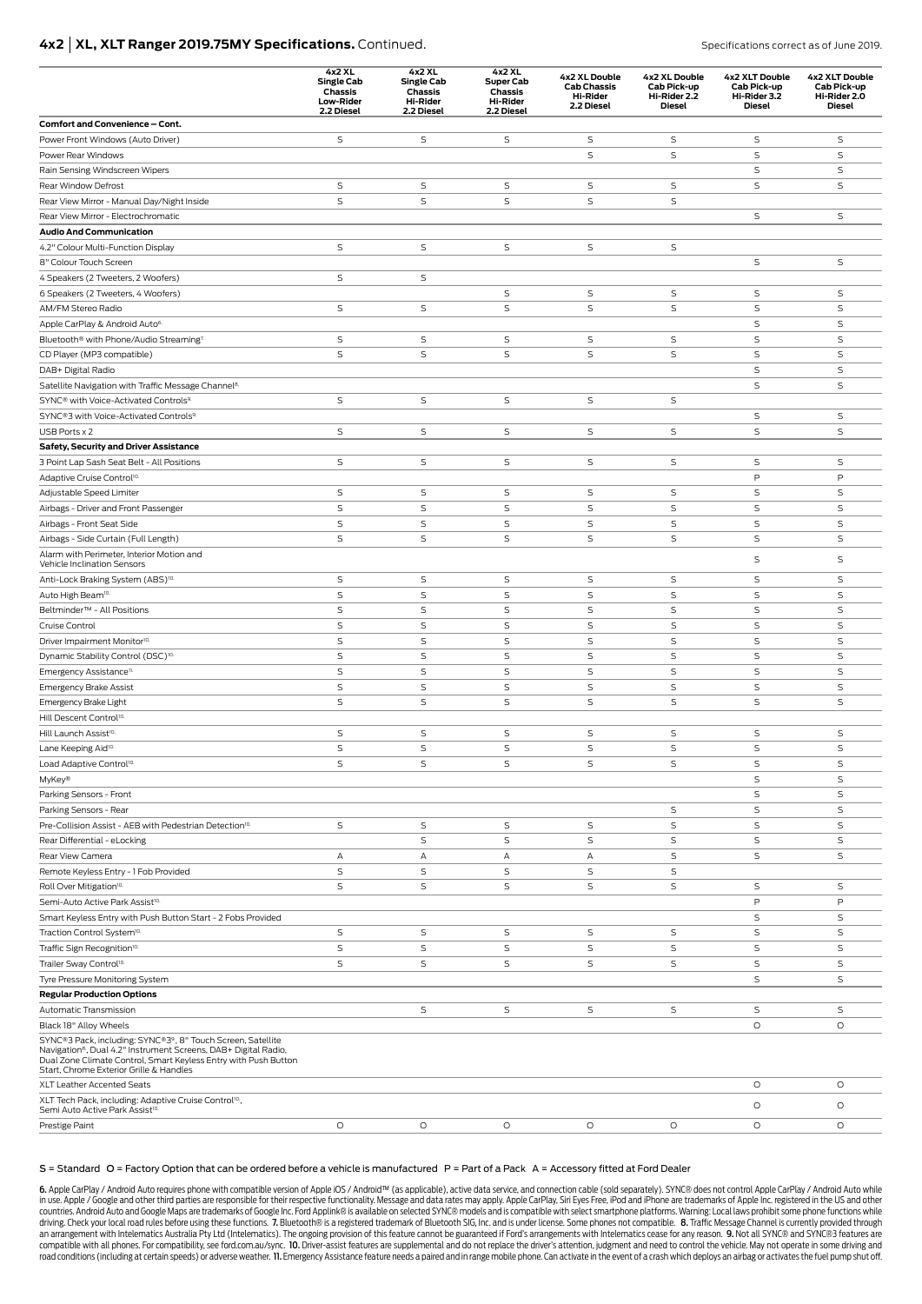### **4x2 | XL, XLT Ranger 2019.75MY Specifications.** Continued. Specifications correct as of June 2019.

|                                                                                                                                                                                                                                                          | 4x2 XL<br><b>Single Cab</b><br>Chassis<br><b>Low-Rider</b><br>2.2 Diesel | 4x2 XL<br><b>Single Cab</b><br>Chassis<br><b>Hi-Rider</b><br>2.2 Diesel | 4x2 XL<br><b>Super Cab</b><br>Chassis<br><b>Hi-Rider</b><br>2.2 Diesel | 4x2 XL Double<br><b>Cab Chassis</b><br><b>Hi-Rider</b><br>2.2 Diesel | 4x2 XL Double<br>Cab Pick-up<br>Hi-Rider 2.2<br><b>Diesel</b> | 4x2 XLT Double<br>Cab Pick-up<br>Hi-Rider 3.2<br><b>Diesel</b> | 4x2 XLT Double<br>Cab Pick-up<br>Hi-Rider 2.0<br><b>Diesel</b> |
|----------------------------------------------------------------------------------------------------------------------------------------------------------------------------------------------------------------------------------------------------------|--------------------------------------------------------------------------|-------------------------------------------------------------------------|------------------------------------------------------------------------|----------------------------------------------------------------------|---------------------------------------------------------------|----------------------------------------------------------------|----------------------------------------------------------------|
| Comfort and Convenience - Cont.                                                                                                                                                                                                                          |                                                                          |                                                                         |                                                                        |                                                                      |                                                               |                                                                |                                                                |
| Power Front Windows (Auto Driver)                                                                                                                                                                                                                        | $\mathsf S$                                                              | S                                                                       | S                                                                      | S                                                                    | S                                                             | S                                                              | S                                                              |
| Power Rear Windows                                                                                                                                                                                                                                       |                                                                          |                                                                         |                                                                        | $\mathsf S$                                                          | S                                                             | S                                                              | $\mathsf S$                                                    |
| Rain Sensing Windscreen Wipers                                                                                                                                                                                                                           |                                                                          |                                                                         |                                                                        |                                                                      |                                                               | S                                                              | S                                                              |
| Rear Window Defrost                                                                                                                                                                                                                                      | $\mathsf S$                                                              | S                                                                       | S                                                                      | $\mathsf S$                                                          | S                                                             | S                                                              | S                                                              |
| Rear View Mirror - Manual Day/Night Inside                                                                                                                                                                                                               | $\mathsf S$                                                              | S                                                                       | $\mathsf S$                                                            | S                                                                    | S                                                             |                                                                |                                                                |
| Rear View Mirror - Electrochromatic                                                                                                                                                                                                                      |                                                                          |                                                                         |                                                                        |                                                                      |                                                               | S                                                              | S                                                              |
| <b>Audio And Communication</b>                                                                                                                                                                                                                           |                                                                          |                                                                         |                                                                        |                                                                      |                                                               |                                                                |                                                                |
| 4.2" Colour Multi-Function Display                                                                                                                                                                                                                       | $\mathsf S$                                                              | S                                                                       | S                                                                      | S                                                                    | S                                                             |                                                                |                                                                |
| 8" Colour Touch Screen                                                                                                                                                                                                                                   |                                                                          |                                                                         |                                                                        |                                                                      |                                                               | S                                                              | $\mathsf S$                                                    |
| 4 Speakers (2 Tweeters, 2 Woofers)                                                                                                                                                                                                                       | $\mathsf S$                                                              | S                                                                       |                                                                        |                                                                      |                                                               |                                                                |                                                                |
| 6 Speakers (2 Tweeters, 4 Woofers)                                                                                                                                                                                                                       |                                                                          |                                                                         | S                                                                      | $\mathsf S$                                                          | $\mathsf S$                                                   | S                                                              | $\mathsf S$                                                    |
| AM/FM Stereo Radio                                                                                                                                                                                                                                       | $\mathsf S$                                                              | S                                                                       | $\mathsf S$                                                            | S                                                                    | S                                                             | S                                                              | $\mathsf S$                                                    |
| Apple CarPlay & Android Auto <sup>6.</sup>                                                                                                                                                                                                               |                                                                          |                                                                         |                                                                        |                                                                      |                                                               | S                                                              | S                                                              |
| Bluetooth® with Phone/Audio Streaming <sup>7.</sup>                                                                                                                                                                                                      | S                                                                        | S                                                                       | S                                                                      | S                                                                    | S                                                             | S                                                              | $\mathsf S$                                                    |
| CD Player (MP3 compatible)                                                                                                                                                                                                                               | $\mathsf S$                                                              | S                                                                       | S                                                                      | S                                                                    | S                                                             | S                                                              | S                                                              |
| DAB+ Digital Radio                                                                                                                                                                                                                                       |                                                                          |                                                                         |                                                                        |                                                                      |                                                               | S                                                              | S                                                              |
| Satellite Navigation with Traffic Message Channel <sup>8.</sup>                                                                                                                                                                                          |                                                                          |                                                                         |                                                                        |                                                                      |                                                               | S                                                              | $\mathsf S$                                                    |
| SYNC® with Voice-Activated Controls <sup>9.</sup>                                                                                                                                                                                                        | $\mathsf S$                                                              | S                                                                       | S                                                                      | $\mathsf S$                                                          | S                                                             |                                                                |                                                                |
| SYNC®3 with Voice-Activated Controls <sup>9.</sup>                                                                                                                                                                                                       |                                                                          |                                                                         |                                                                        |                                                                      |                                                               | S                                                              | S                                                              |
| USB Ports x 2                                                                                                                                                                                                                                            | $\mathsf S$                                                              | S                                                                       | S                                                                      | S                                                                    | S                                                             | S                                                              | S                                                              |
| Safety, Security and Driver Assistance                                                                                                                                                                                                                   |                                                                          |                                                                         |                                                                        |                                                                      |                                                               |                                                                |                                                                |
| 3 Point Lap Sash Seat Belt - All Positions                                                                                                                                                                                                               | S                                                                        | S                                                                       | S                                                                      | S                                                                    | S                                                             | S                                                              | $\mathsf S$                                                    |
| Adaptive Cruise Control <sup>10.</sup>                                                                                                                                                                                                                   |                                                                          |                                                                         |                                                                        |                                                                      |                                                               | P                                                              | P                                                              |
| Adjustable Speed Limiter                                                                                                                                                                                                                                 | $\mathsf S$                                                              | S                                                                       | S                                                                      | S                                                                    | S                                                             | S                                                              | $\mathsf S$                                                    |
| Airbags - Driver and Front Passenger                                                                                                                                                                                                                     | $\mathsf S$                                                              | S                                                                       | $\mathsf S$                                                            | S                                                                    | $\mathsf S$                                                   | S                                                              | $\mathsf S$                                                    |
| Airbags - Front Seat Side                                                                                                                                                                                                                                | $\mathsf S$                                                              | S                                                                       | $\mathsf S$                                                            | $\mathsf S$                                                          | S                                                             | S                                                              | $\mathsf S$                                                    |
| Airbags - Side Curtain (Full Length)                                                                                                                                                                                                                     | $\mathsf S$                                                              | S                                                                       | $\mathsf S$                                                            | S                                                                    | $\mathsf S$                                                   | S                                                              | S                                                              |
| Alarm with Perimeter, Interior Motion and                                                                                                                                                                                                                |                                                                          |                                                                         |                                                                        |                                                                      |                                                               | S                                                              | $\mathsf S$                                                    |
| Vehicle Inclination Sensors                                                                                                                                                                                                                              |                                                                          |                                                                         |                                                                        |                                                                      |                                                               |                                                                |                                                                |
| Anti-Lock Braking System (ABS) <sup>10.</sup>                                                                                                                                                                                                            | $\mathsf S$                                                              | S                                                                       | S                                                                      | S                                                                    | S                                                             | S                                                              | S                                                              |
| Auto High Beam <sup>10.</sup>                                                                                                                                                                                                                            | $\mathsf S$                                                              | S                                                                       | S                                                                      | $\mathsf S$                                                          | $\mathsf S$                                                   | S                                                              | S                                                              |
| Beltminder <sup>™</sup> - All Positions                                                                                                                                                                                                                  | $\mathsf S$                                                              | S                                                                       | $\mathsf S$                                                            | $\mathsf S$                                                          | $\mathsf S$                                                   | S                                                              | $\mathsf S$                                                    |
| Cruise Control                                                                                                                                                                                                                                           | $\mathsf S$                                                              | S                                                                       | $\mathsf S$                                                            | $\mathsf S$                                                          | S                                                             | S                                                              | S                                                              |
| Driver Impairment Monitor <sup>10.</sup>                                                                                                                                                                                                                 | $\mathsf S$                                                              | S                                                                       | S                                                                      | S                                                                    | $\mathsf S$                                                   | S                                                              | $\mathsf S$                                                    |
| Dynamic Stability Control (DSC) <sup>10.</sup>                                                                                                                                                                                                           | $\mathsf S$                                                              | S                                                                       | $\mathsf S$                                                            | S                                                                    | S                                                             | S                                                              | $\mathsf S$                                                    |
| Emergency Assistance <sup>11.</sup>                                                                                                                                                                                                                      | $\mathsf S$                                                              | S                                                                       | $\mathsf S$                                                            | S                                                                    | S                                                             | S                                                              | S                                                              |
| <b>Emergency Brake Assist</b>                                                                                                                                                                                                                            | $\mathsf S$                                                              | S                                                                       | $\mathsf S$                                                            | S                                                                    | S                                                             | S                                                              | $\mathsf S$                                                    |
| Emergency Brake Light                                                                                                                                                                                                                                    | $\mathsf S$                                                              | S                                                                       | $\mathsf S$                                                            | S                                                                    | S                                                             | S                                                              | $\mathsf S$                                                    |
| Hill Descent Control <sup>10.</sup>                                                                                                                                                                                                                      |                                                                          |                                                                         |                                                                        |                                                                      |                                                               |                                                                |                                                                |
| Hill Launch Assist <sup>10.</sup>                                                                                                                                                                                                                        | S                                                                        | S                                                                       | S                                                                      | S                                                                    | S                                                             | S                                                              | S                                                              |
| Lane Keeping Aid <sup>10.</sup>                                                                                                                                                                                                                          | $\mathsf S$                                                              | S                                                                       | $\mathsf S$                                                            | S                                                                    | $\mathsf S$                                                   | S                                                              | $\mathsf S$                                                    |
| Load Adaptive Control <sup>10.</sup>                                                                                                                                                                                                                     | S                                                                        | S                                                                       | S                                                                      | S                                                                    | S                                                             | S                                                              | S                                                              |
| MyKey®                                                                                                                                                                                                                                                   |                                                                          |                                                                         |                                                                        |                                                                      |                                                               | S                                                              | S                                                              |
| Parking Sensors - Front                                                                                                                                                                                                                                  |                                                                          |                                                                         |                                                                        |                                                                      |                                                               | S                                                              | $\mathsf S$                                                    |
| Parking Sensors - Rear                                                                                                                                                                                                                                   |                                                                          |                                                                         |                                                                        |                                                                      | S                                                             | S                                                              | $\mathsf S$                                                    |
| Pre-Collision Assist - AEB with Pedestrian Detection <sup>10.</sup>                                                                                                                                                                                      | S                                                                        | S                                                                       | S                                                                      | $\mathsf S$                                                          | S                                                             | S                                                              | S                                                              |
| Rear Differential - eLocking                                                                                                                                                                                                                             |                                                                          | S                                                                       | $\mathsf S$                                                            | $\mathsf S$                                                          | $\mathsf S$                                                   | S                                                              | $\mathsf S$                                                    |
| Rear View Camera                                                                                                                                                                                                                                         | А                                                                        | А                                                                       | А                                                                      | А                                                                    | S                                                             | S                                                              | S                                                              |
| Remote Keyless Entry - 1 Fob Provided                                                                                                                                                                                                                    | S                                                                        | S                                                                       | S                                                                      | $\mathsf S$                                                          | S                                                             |                                                                |                                                                |
| Roll Over Mitigation <sup>10.</sup>                                                                                                                                                                                                                      | $\mathsf S$                                                              | S                                                                       | $\mathsf S$                                                            | S                                                                    | $\mathsf S$                                                   | S                                                              | S                                                              |
| Semi-Auto Active Park Assist <sup>10.</sup>                                                                                                                                                                                                              |                                                                          |                                                                         |                                                                        |                                                                      |                                                               | P                                                              | P                                                              |
| Smart Keyless Entry with Push Button Start - 2 Fobs Provided                                                                                                                                                                                             |                                                                          |                                                                         |                                                                        |                                                                      |                                                               | S                                                              | S                                                              |
| Traction Control System <sup>10.</sup>                                                                                                                                                                                                                   | $\mathsf S$                                                              | S                                                                       | S                                                                      | $\mathsf S$                                                          | S                                                             | S                                                              | S                                                              |
| Traffic Sign Recognition <sup>10.</sup>                                                                                                                                                                                                                  | $\mathsf S$                                                              | S                                                                       | $\mathsf S$                                                            | S                                                                    | $\mathsf S$                                                   | S                                                              | $\mathsf S$                                                    |
| Trailer Sway Control <sup>10.</sup>                                                                                                                                                                                                                      | $\mathsf S$                                                              | S                                                                       | S                                                                      | S                                                                    | S                                                             | S                                                              | S                                                              |
| Tyre Pressure Monitoring System                                                                                                                                                                                                                          |                                                                          |                                                                         |                                                                        |                                                                      |                                                               | S                                                              | S                                                              |
| <b>Regular Production Options</b>                                                                                                                                                                                                                        |                                                                          |                                                                         |                                                                        |                                                                      |                                                               |                                                                |                                                                |
| Automatic Transmission                                                                                                                                                                                                                                   |                                                                          | S                                                                       | S                                                                      | S                                                                    | S                                                             | S                                                              | S                                                              |
| Black 18" Alloy Wheels                                                                                                                                                                                                                                   |                                                                          |                                                                         |                                                                        |                                                                      |                                                               | $\circ$                                                        | $\circ$                                                        |
| SYNC®3 Pack, including: SYNC®39, 8" Touch Screen, Satellite<br>Navigation <sup>8</sup> , Dual 4.2" Instrument Screens, DAB+ Digital Radio,<br>Dual Zone Climate Control, Smart Keyless Entry with Push Button<br>Start, Chrome Exterior Grille & Handles |                                                                          |                                                                         |                                                                        |                                                                      |                                                               |                                                                |                                                                |
| XLT Leather Accented Seats                                                                                                                                                                                                                               |                                                                          |                                                                         |                                                                        |                                                                      |                                                               | $\circ$                                                        | $\circ$                                                        |
| XLT Tech Pack, including: Adaptive Cruise Control <sup>10</sup> .,<br>Semi Auto Active Park Assist <sup>10.</sup>                                                                                                                                        |                                                                          |                                                                         |                                                                        |                                                                      |                                                               | O                                                              | O                                                              |
| Prestige Paint                                                                                                                                                                                                                                           | $\circ$                                                                  | O                                                                       | $\circ$                                                                | $\circ$                                                              | $\circ$                                                       | $\circ$                                                        | $\circ$                                                        |

#### S = Standard O = Factory Option that can be ordered before a vehicle is manufactured P = Part of a Pack A = Accessory fitted at Ford Dealer

6. Apple CarPlay / Android Auto requires phone with compatible version of Apple iOS / Android™ (as applicable), active data service, and connection cable (sold separately). SYNC® does not control Apple CarPlay / Android A countries. Android Auto and Google Maps are trademarks of Google Inc. Ford Applink® is available on selected SYNC® models and is compatible with select smartphone platforms. Warning: Local laws prohibit some phone function an arrangement with Intelematics Australia Pty Ltd (Intelematics). The ongoing provision of this feature cannot be guaranteed if Ford's arrangements with Intelematics cease for any reason. 9. Not all SYNC® and SYNC®3 featu compatible with all phones. For compatibility, see ford.com.au/sync. 10. Driver-assist features are supplemental and do not replace the driver's attention, judgment and need to control the vehicle. May not operate in some road conditions (including at certain speeds) or adverse weather. II. Emergency Assistance feature needs a paired and in range mobile phone. Can activate in the event of a crash which deploys an airbag or activates the fue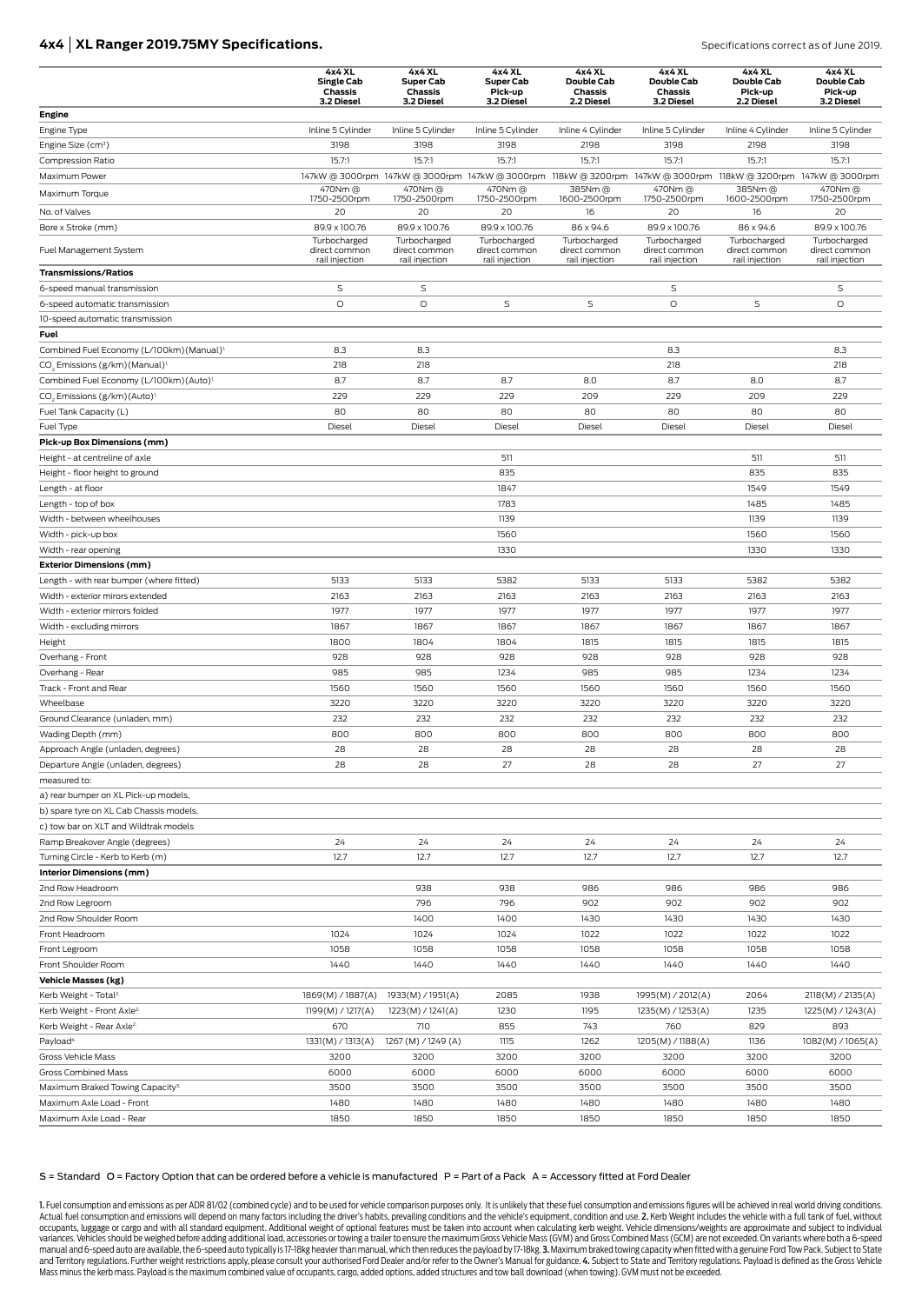### **4x4 | XL Ranger 2019.75MY Specifications. Specifications Correct as of June 2019. Specifications correct as of June 2019.**

|                                                        | 4x4 XL<br><b>Single Cab</b><br>Chassis | 4x4 XL<br><b>Super Cab</b><br>Chassis | 4x4 XL<br><b>Super Cab</b><br>Pick-up | 4x4 XL<br>Double Cab<br><b>Chassis</b> | 4x4 XL<br>Double Cab<br><b>Chassis</b><br>3.2 Diesel                                                            | 4x4 XL<br>Double Cab<br>Pick-up | 4x4 XL<br>Double Cab<br>Pick-up |
|--------------------------------------------------------|----------------------------------------|---------------------------------------|---------------------------------------|----------------------------------------|-----------------------------------------------------------------------------------------------------------------|---------------------------------|---------------------------------|
| Engine                                                 | 3.2 Diesel                             | 3.2 Diesel                            | 3.2 Diesel                            | 2.2 Diesel                             |                                                                                                                 | 2.2 Diesel                      | 3.2 Diesel                      |
| Engine Type                                            | Inline 5 Cylinder                      | Inline 5 Cylinder                     | Inline 5 Cylinder                     | Inline 4 Cylinder                      | Inline 5 Cylinder                                                                                               | Inline 4 Cylinder               | Inline 5 Cylinder               |
| Engine Size (cm <sup>3</sup> )                         | 3198                                   | 3198                                  | 3198                                  | 2198                                   | 3198                                                                                                            | 2198                            | 3198                            |
| <b>Compression Ratio</b>                               | 15.7:1                                 | 15.7:1                                | 15.7:1                                | 15.7:1                                 | 15.7:1                                                                                                          | 15.7:1                          | 15.7:1                          |
| Maximum Power                                          |                                        |                                       |                                       |                                        | 147kW @ 3000rpm 147kW @ 3000rpm 147kW @ 3000rpm 118kW @ 3200rpm 147kW @ 3000rpm 118kW @ 3200rpm 147kW @ 3000rpm |                                 |                                 |
| Maximum Torque                                         | 470Nm @                                | 470Nm @                               | 470Nm @                               | 385Nm @                                | 470Nm @                                                                                                         | 385Nm@                          | 470Nm @                         |
|                                                        | 1750-2500rpm                           | 1750-2500rpm                          | 1750-2500rpm                          | 1600-2500rpm                           | 1750-2500rpm                                                                                                    | 1600-2500rpm                    | 1750-2500rpm                    |
| No. of Valves                                          | 20                                     | 20                                    | 20                                    | 16                                     | 20                                                                                                              | 16                              | 20                              |
| Bore x Stroke (mm)                                     | 89.9 x 100.76<br>Turbocharged          | 89.9 x 100.76<br>Turbocharged         | 89.9 x 100.76<br>Turbocharged         | 86 x 94.6<br>Turbocharged              | 89.9 x 100.76<br>Turbocharged                                                                                   | 86 x 94.6<br>Turbocharged       | 89.9 x 100.76<br>Turbocharged   |
| Fuel Management System                                 | direct common<br>rail injection        | direct common<br>rail injection       | direct common<br>rail injection       | direct common<br>rail injection        | direct common<br>rail injection                                                                                 | direct common<br>rail injection | direct common<br>rail injection |
| <b>Transmissions/Ratios</b>                            |                                        |                                       |                                       |                                        |                                                                                                                 |                                 |                                 |
| 6-speed manual transmission                            | S                                      | S                                     |                                       |                                        | S                                                                                                               |                                 | S                               |
| 6-speed automatic transmission                         | O                                      | $\circ$                               | S                                     | $\mathsf S$                            | O                                                                                                               | S                               | $\circ$                         |
| 10-speed automatic transmission                        |                                        |                                       |                                       |                                        |                                                                                                                 |                                 |                                 |
| Fuel                                                   |                                        |                                       |                                       |                                        |                                                                                                                 |                                 |                                 |
| Combined Fuel Economy (L/100km) (Manual) <sup>1.</sup> | 8.3                                    | 8.3                                   |                                       |                                        | 8.3                                                                                                             |                                 | 8.3                             |
| CO <sub>2</sub> Emissions (g/km) (Manual) <sup>1</sup> | 218                                    | 218                                   |                                       |                                        | 218                                                                                                             |                                 | 218                             |
| Combined Fuel Economy (L/100km) (Auto) <sup>1.</sup>   | 8.7                                    | 8.7                                   | 8.7                                   | 8.0                                    | 8.7                                                                                                             | 8.0                             | 8.7                             |
| CO <sub>2</sub> Emissions (g/km) (Auto) <sup>1.</sup>  | 229                                    | 229                                   | 229                                   | 209                                    | 229                                                                                                             | 209                             | 229                             |
| Fuel Tank Capacity (L)                                 | 80                                     | 80                                    | 80                                    | 80                                     | 80                                                                                                              | 80                              | 80                              |
| Fuel Type                                              | Diesel                                 | Diesel                                | Diesel                                | Diesel                                 | Diesel                                                                                                          | Diesel                          | Diesel                          |
| Pick-up Box Dimensions (mm)                            |                                        |                                       |                                       |                                        |                                                                                                                 |                                 |                                 |
| Height - at centreline of axle                         |                                        |                                       | 511                                   |                                        |                                                                                                                 | 511                             | 511                             |
| Height - floor height to ground                        |                                        |                                       | 835                                   |                                        |                                                                                                                 | 835                             | 835                             |
| Length - at floor                                      |                                        |                                       | 1847                                  |                                        |                                                                                                                 | 1549                            | 1549                            |
| Length - top of box                                    |                                        |                                       | 1783                                  |                                        |                                                                                                                 | 1485                            | 1485                            |
| Width - between wheelhouses                            |                                        |                                       | 1139                                  |                                        |                                                                                                                 | 1139                            | 1139                            |
| Width - pick-up box                                    |                                        |                                       | 1560                                  |                                        |                                                                                                                 | 1560                            | 1560                            |
| Width - rear opening                                   |                                        |                                       | 1330                                  |                                        |                                                                                                                 | 1330                            | 1330                            |
| <b>Exterior Dimensions (mm)</b>                        |                                        |                                       |                                       |                                        |                                                                                                                 |                                 |                                 |
| Length - with rear bumper (where fitted)               | 5133                                   | 5133                                  | 5382                                  | 5133                                   | 5133                                                                                                            | 5382                            | 5382                            |
| Width - exterior mirors extended                       | 2163                                   | 2163                                  | 2163                                  | 2163                                   | 2163                                                                                                            | 2163                            | 2163                            |
| Width - exterior mirrors folded                        | 1977                                   | 1977                                  | 1977                                  | 1977                                   | 1977                                                                                                            | 1977                            | 1977                            |
| Width - excluding mirrors                              | 1867                                   | 1867                                  | 1867                                  | 1867                                   | 1867                                                                                                            | 1867                            | 1867                            |
| Height                                                 | 1800                                   | 1804                                  | 1804                                  | 1815                                   | 1815                                                                                                            | 1815                            | 1815                            |
| Overhang - Front                                       | 928                                    | 928                                   | 928                                   | 928                                    | 928                                                                                                             | 928                             | 928                             |
| Overhang - Rear                                        | 985                                    | 985                                   | 1234                                  | 985                                    | 985                                                                                                             | 1234                            | 1234                            |
| Track - Front and Rear<br>Wheelbase                    | 1560<br>3220                           | 1560<br>3220                          | 1560<br>3220                          | 1560<br>3220                           | 1560<br>3220                                                                                                    | 1560<br>3220                    | 1560<br>3220                    |
|                                                        | 232                                    | 232                                   | 232                                   | 232                                    | 232                                                                                                             | 232                             | 232                             |
| Ground Clearance (unladen, mm)<br>Wading Depth (mm)    | 800                                    | 800                                   | 800                                   | 800                                    | 800                                                                                                             | 800                             | 800                             |
| Approach Angle (unladen, degrees)                      | 28                                     | 28                                    | 28                                    | 28                                     | 28                                                                                                              | 28                              | 28                              |
| Departure Angle (unladen, degrees)                     | 28                                     | 28                                    | 27                                    | 28                                     | 28                                                                                                              | 27                              | 27                              |
| measured to:                                           |                                        |                                       |                                       |                                        |                                                                                                                 |                                 |                                 |
| a) rear bumper on XL Pick-up models,                   |                                        |                                       |                                       |                                        |                                                                                                                 |                                 |                                 |
| b) spare tyre on XL Cab Chassis models,                |                                        |                                       |                                       |                                        |                                                                                                                 |                                 |                                 |
| c) tow bar on XLT and Wildtrak models                  |                                        |                                       |                                       |                                        |                                                                                                                 |                                 |                                 |
| Ramp Breakover Angle (degrees)                         | 24                                     | 24                                    | 24                                    | 24                                     | 24                                                                                                              | 24                              | 24                              |
| Turning Circle - Kerb to Kerb (m)                      | 12.7                                   | 12.7                                  | 12.7                                  | 12.7                                   | 12.7                                                                                                            | 12.7                            | 12.7                            |
| Interior Dimensions (mm)                               |                                        |                                       |                                       |                                        |                                                                                                                 |                                 |                                 |
| 2nd Row Headroom                                       |                                        | 938                                   | 938                                   | 986                                    | 986                                                                                                             | 986                             | 986                             |
| 2nd Row Legroom                                        |                                        | 796                                   | 796                                   | 902                                    | 902                                                                                                             | 902                             | 902                             |
| 2nd Row Shoulder Room                                  |                                        | 1400                                  | 1400                                  | 1430                                   | 1430                                                                                                            | 1430                            | 1430                            |
| Front Headroom                                         | 1024                                   | 1024                                  | 1024                                  | 1022                                   | 1022                                                                                                            | 1022                            | 1022                            |
| Front Legroom                                          | 1058                                   | 1058                                  | 1058                                  | 1058                                   | 1058                                                                                                            | 1058                            | 1058                            |
| Front Shoulder Room                                    | 1440                                   | 1440                                  | 1440                                  | 1440                                   | 1440                                                                                                            | 1440                            | 1440                            |
| Vehicle Masses (kg)                                    |                                        |                                       |                                       |                                        |                                                                                                                 |                                 |                                 |
| Kerb Weight - Total <sup>2</sup>                       | 1869(M) / 1887(A)                      | 1933(M) / 1951(A)                     | 2085                                  | 1938                                   | 1995(M) / 2012(A)                                                                                               | 2064                            | 2118(M) / 2135(A)               |
| Kerb Weight - Front Axle <sup>2.</sup>                 | 1199(M) / 1217(A)                      | 1223(M) / 1241(A)                     | 1230                                  | 1195                                   | 1235(M) / 1253(A)                                                                                               | 1235                            | 1225(M) / 1243(A)               |
| Kerb Weight - Rear Axle <sup>2.</sup>                  | 670                                    | 710                                   | 855                                   | 743                                    | 760                                                                                                             | 829                             | 893                             |
| Payload <sup>4.</sup>                                  | 1331(M) / 1313(A)                      | 1267 (M) / 1249 (A)                   | 1115                                  | 1262                                   | 1205(M) / 1188(A)                                                                                               | 1136                            | 1082(M) / 1065(A)               |
| Gross Vehicle Mass                                     | 3200                                   | 3200                                  | 3200                                  | 3200                                   | 3200                                                                                                            | 3200                            | 3200                            |
| Gross Combined Mass                                    | 6000                                   | 6000                                  | 6000                                  | 6000                                   | 6000                                                                                                            | 6000                            | 6000                            |
| Maximum Braked Towing Capacity <sup>3.</sup>           | 3500                                   | 3500                                  | 3500                                  | 3500                                   | 3500                                                                                                            | 3500                            | 3500                            |
| Maximum Axle Load - Front                              | 1480                                   | 1480                                  | 1480                                  | 1480                                   | 1480                                                                                                            | 1480                            | 1480                            |
| Maximum Axle Load - Rear                               | 1850                                   | 1850                                  | 1850                                  | 1850                                   | 1850                                                                                                            | 1850                            | 1850                            |

#### S = Standard O = Factory Option that can be ordered before a vehicle is manufactured P = Part of a Pack A = Accessory fitted at Ford Dealer

1. Fuel consumption and emissions as per ADR 81/02 (combined cycle) and to be used for vehicle comparison purposes only. It is unlikely that these fuel consumption and emissions figures will be achieved in real world drivi Actual fuel consumption and emissions will depend on many factors including the driver's habits, prevailing conditions and the vehicle's equipment, condition and use. 2. Kerb Weight includes the vehicle with a full tank of occupants, luggage or cargo and with all standard equipment. Additional weight of optional features must be taken into account when calculating kerb weight. Vehicle dimensions/weights are approximate and subject to individ variances. Vehicles should be weighed before adding additional load, accessories or towing a trailer to ensure the maximum Gross Vehicle Mass (GVM) and Gross Combined Mass (GCM) are not exceeded. On variants where both a 6 Mass minus the kerb mass. Payload is the maximum combined value of occupants, cargo, added options, added structures and tow ball download (when towing). GVM must not be exceeded.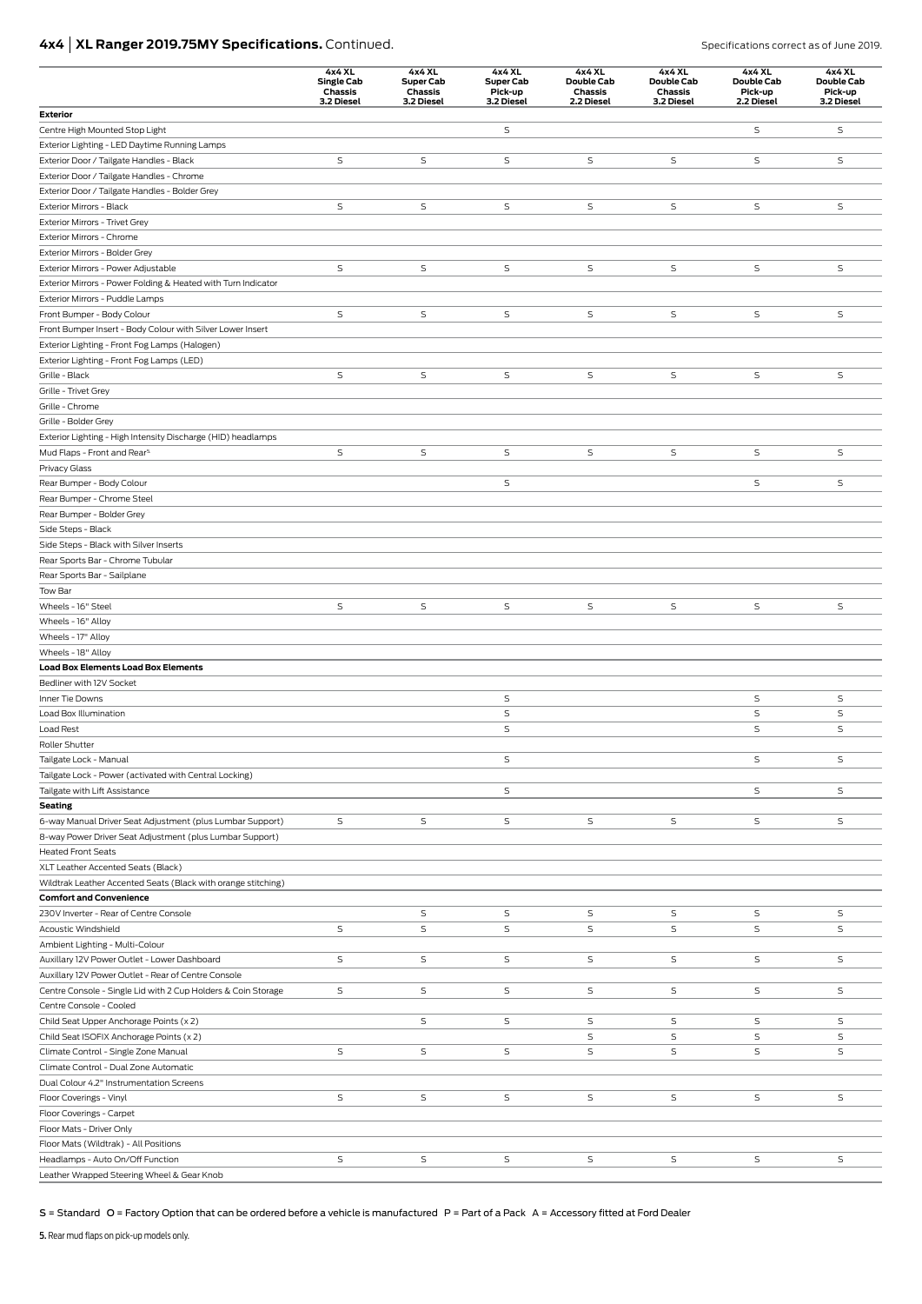# **4x4 | XL Ranger 2019.75MY Specifications.** Continued. **Specifications correct as of June 2019.** Specifications correct as of June 2019.

|                                                                                | 4x4 XL<br><b>Single Cab</b><br>Chassis<br>3.2 Diesel | 4x4 XL<br><b>Super Cab</b><br>Chassis<br>3.2 Diesel | 4x4 XL<br><b>Super Cab</b><br>Pick-up<br>3.2 Diesel | 4x4 XL<br>Double Cab<br><b>Chassis</b><br>2.2 Diesel | 4x4 XL<br>Double Cab<br>Chassis<br>3.2 Diesel | 4x4 XL<br>Double Cab<br>Pick-up<br>2.2 Diesel | 4x4 XL<br>Double Cab<br>Pick-up<br>3.2 Diesel |
|--------------------------------------------------------------------------------|------------------------------------------------------|-----------------------------------------------------|-----------------------------------------------------|------------------------------------------------------|-----------------------------------------------|-----------------------------------------------|-----------------------------------------------|
| <b>Exterior</b>                                                                |                                                      |                                                     |                                                     |                                                      |                                               |                                               |                                               |
| Centre High Mounted Stop Light                                                 |                                                      |                                                     | S                                                   |                                                      |                                               | S                                             | $\mathsf S$                                   |
| Exterior Lighting - LED Daytime Running Lamps                                  |                                                      |                                                     |                                                     |                                                      |                                               |                                               |                                               |
| Exterior Door / Tailgate Handles - Black                                       | S                                                    | $\mathsf S$                                         | S                                                   | S                                                    | S                                             | $\mathsf S$                                   | S                                             |
| Exterior Door / Tailgate Handles - Chrome                                      |                                                      |                                                     |                                                     |                                                      |                                               |                                               |                                               |
| Exterior Door / Tailgate Handles - Bolder Grey                                 |                                                      |                                                     |                                                     |                                                      |                                               |                                               |                                               |
| Exterior Mirrors - Black                                                       | S                                                    | $\mathsf S$                                         | S                                                   | S                                                    | S                                             | S                                             | S                                             |
| Exterior Mirrors - Trivet Grey                                                 |                                                      |                                                     |                                                     |                                                      |                                               |                                               |                                               |
| Exterior Mirrors - Chrome<br>Exterior Mirrors - Bolder Grey                    |                                                      |                                                     |                                                     |                                                      |                                               |                                               |                                               |
| Exterior Mirrors - Power Adjustable                                            | $\mathsf S$                                          | S                                                   | S                                                   | S                                                    | S                                             | S                                             | S                                             |
| Exterior Mirrors - Power Folding & Heated with Turn Indicator                  |                                                      |                                                     |                                                     |                                                      |                                               |                                               |                                               |
| Exterior Mirrors - Puddle Lamps                                                |                                                      |                                                     |                                                     |                                                      |                                               |                                               |                                               |
| Front Bumper - Body Colour                                                     | $\mathsf S$                                          | $\mathsf S$                                         | $\mathsf S$                                         | $\mathsf S$                                          | S                                             | S                                             | $\mathsf S$                                   |
| Front Bumper Insert - Body Colour with Silver Lower Insert                     |                                                      |                                                     |                                                     |                                                      |                                               |                                               |                                               |
| Exterior Lighting - Front Fog Lamps (Halogen)                                  |                                                      |                                                     |                                                     |                                                      |                                               |                                               |                                               |
| Exterior Lighting - Front Fog Lamps (LED)                                      |                                                      |                                                     |                                                     |                                                      |                                               |                                               |                                               |
| Grille - Black                                                                 | S                                                    | S                                                   | S                                                   | S                                                    | S                                             | S                                             | S                                             |
| Grille - Trivet Grey                                                           |                                                      |                                                     |                                                     |                                                      |                                               |                                               |                                               |
| Grille - Chrome                                                                |                                                      |                                                     |                                                     |                                                      |                                               |                                               |                                               |
| Grille - Bolder Grey                                                           |                                                      |                                                     |                                                     |                                                      |                                               |                                               |                                               |
| Exterior Lighting - High Intensity Discharge (HID) headlamps                   |                                                      |                                                     |                                                     |                                                      |                                               |                                               |                                               |
| Mud Flaps - Front and Rear <sup>5.</sup>                                       | S                                                    | S                                                   | S                                                   | S                                                    | S                                             | S                                             | S                                             |
| Privacy Glass                                                                  |                                                      |                                                     |                                                     |                                                      |                                               |                                               |                                               |
| Rear Bumper - Body Colour                                                      |                                                      |                                                     | S                                                   |                                                      |                                               | $\mathsf S$                                   | $\mathsf S$                                   |
| Rear Bumper - Chrome Steel                                                     |                                                      |                                                     |                                                     |                                                      |                                               |                                               |                                               |
| Rear Bumper - Bolder Grey                                                      |                                                      |                                                     |                                                     |                                                      |                                               |                                               |                                               |
| Side Steps - Black                                                             |                                                      |                                                     |                                                     |                                                      |                                               |                                               |                                               |
| Side Steps - Black with Silver Inserts                                         |                                                      |                                                     |                                                     |                                                      |                                               |                                               |                                               |
| Rear Sports Bar - Chrome Tubular                                               |                                                      |                                                     |                                                     |                                                      |                                               |                                               |                                               |
| Rear Sports Bar - Sailplane                                                    |                                                      |                                                     |                                                     |                                                      |                                               |                                               |                                               |
| Tow Bar                                                                        |                                                      |                                                     |                                                     |                                                      |                                               |                                               |                                               |
| Wheels - 16" Steel                                                             | S                                                    | S                                                   | S                                                   | $\mathsf S$                                          | S                                             | S                                             | S                                             |
| Wheels - 16" Alloy                                                             |                                                      |                                                     |                                                     |                                                      |                                               |                                               |                                               |
| Wheels - 17" Alloy                                                             |                                                      |                                                     |                                                     |                                                      |                                               |                                               |                                               |
| Wheels - 18" Alloy                                                             |                                                      |                                                     |                                                     |                                                      |                                               |                                               |                                               |
| <b>Load Box Elements Load Box Elements</b><br>Bedliner with 12V Socket         |                                                      |                                                     |                                                     |                                                      |                                               |                                               |                                               |
| Inner Tie Downs                                                                |                                                      |                                                     | S                                                   |                                                      |                                               | S                                             | S                                             |
| Load Box Illumination                                                          |                                                      |                                                     | $\mathsf S$                                         |                                                      |                                               | $\mathsf S$                                   | $\mathsf S$                                   |
| Load Rest                                                                      |                                                      |                                                     | $\mathsf S$                                         |                                                      |                                               | $\mathsf S$                                   | $\mathsf S$                                   |
| Roller Shutter                                                                 |                                                      |                                                     |                                                     |                                                      |                                               |                                               |                                               |
| Tailgate Lock - Manual                                                         |                                                      |                                                     | S                                                   |                                                      |                                               | S                                             | S                                             |
| Tailgate Lock - Power (activated with Central Locking)                         |                                                      |                                                     |                                                     |                                                      |                                               |                                               |                                               |
| Tailgate with Lift Assistance                                                  |                                                      |                                                     | S                                                   |                                                      |                                               | S                                             | S                                             |
| <b>Seating</b>                                                                 |                                                      |                                                     |                                                     |                                                      |                                               |                                               |                                               |
| 6-way Manual Driver Seat Adjustment (plus Lumbar Support)                      | S                                                    | S                                                   | S                                                   | S                                                    | S                                             | S                                             | S                                             |
| 8-way Power Driver Seat Adjustment (plus Lumbar Support)                       |                                                      |                                                     |                                                     |                                                      |                                               |                                               |                                               |
| <b>Heated Front Seats</b>                                                      |                                                      |                                                     |                                                     |                                                      |                                               |                                               |                                               |
| XLT Leather Accented Seats (Black)                                             |                                                      |                                                     |                                                     |                                                      |                                               |                                               |                                               |
| Wildtrak Leather Accented Seats (Black with orange stitching)                  |                                                      |                                                     |                                                     |                                                      |                                               |                                               |                                               |
| <b>Comfort and Convenience</b>                                                 |                                                      |                                                     |                                                     |                                                      |                                               |                                               |                                               |
| 230V Inverter - Rear of Centre Console                                         |                                                      | S                                                   | S                                                   | S                                                    | S                                             | S                                             | S                                             |
| Acoustic Windshield                                                            | S                                                    | S                                                   | S                                                   | S                                                    | S                                             | $\mathsf S$                                   | S                                             |
| Ambient Lighting - Multi-Colour                                                |                                                      |                                                     |                                                     |                                                      |                                               |                                               |                                               |
| Auxillary 12V Power Outlet - Lower Dashboard                                   | S                                                    | S                                                   | S                                                   | S                                                    | S                                             | S                                             | S                                             |
| Auxillary 12V Power Outlet - Rear of Centre Console                            |                                                      |                                                     |                                                     |                                                      |                                               |                                               |                                               |
| Centre Console - Single Lid with 2 Cup Holders & Coin Storage                  | S                                                    | S                                                   | S                                                   | S                                                    | S                                             | S                                             | S                                             |
| Centre Console - Cooled                                                        |                                                      |                                                     |                                                     |                                                      |                                               |                                               |                                               |
| Child Seat Upper Anchorage Points (x 2)                                        |                                                      | S                                                   | S                                                   | S                                                    | S                                             | S                                             | S                                             |
| Child Seat ISOFIX Anchorage Points (x 2)                                       |                                                      |                                                     |                                                     | $\mathsf S$                                          | S                                             | $\mathsf S$                                   | S                                             |
| Climate Control - Single Zone Manual                                           | S                                                    | S                                                   | S                                                   | S                                                    | S                                             | $\mathsf S$                                   | S                                             |
| Climate Control - Dual Zone Automatic                                          |                                                      |                                                     |                                                     |                                                      |                                               |                                               |                                               |
| Dual Colour 4.2" Instrumentation Screens                                       |                                                      |                                                     |                                                     |                                                      |                                               |                                               |                                               |
| Floor Coverings - Vinyl                                                        | S                                                    | S                                                   | S                                                   | S                                                    | S                                             | S                                             | S                                             |
| Floor Coverings - Carpet                                                       |                                                      |                                                     |                                                     |                                                      |                                               |                                               |                                               |
| Floor Mats - Driver Only                                                       |                                                      |                                                     |                                                     |                                                      |                                               |                                               |                                               |
| Floor Mats (Wildtrak) - All Positions                                          |                                                      |                                                     |                                                     |                                                      |                                               |                                               |                                               |
| Headlamps - Auto On/Off Function<br>Leather Wrapped Steering Wheel & Gear Knob | S                                                    | S                                                   | S                                                   | $\mathsf S$                                          | S                                             | S                                             | S                                             |
|                                                                                |                                                      |                                                     |                                                     |                                                      |                                               |                                               |                                               |

S = Standard O = Factory Option that can be ordered before a vehicle is manufactured P = Part of a Pack A = Accessory fitted at Ford Dealer

5. Rear mud flaps on pick-up models only.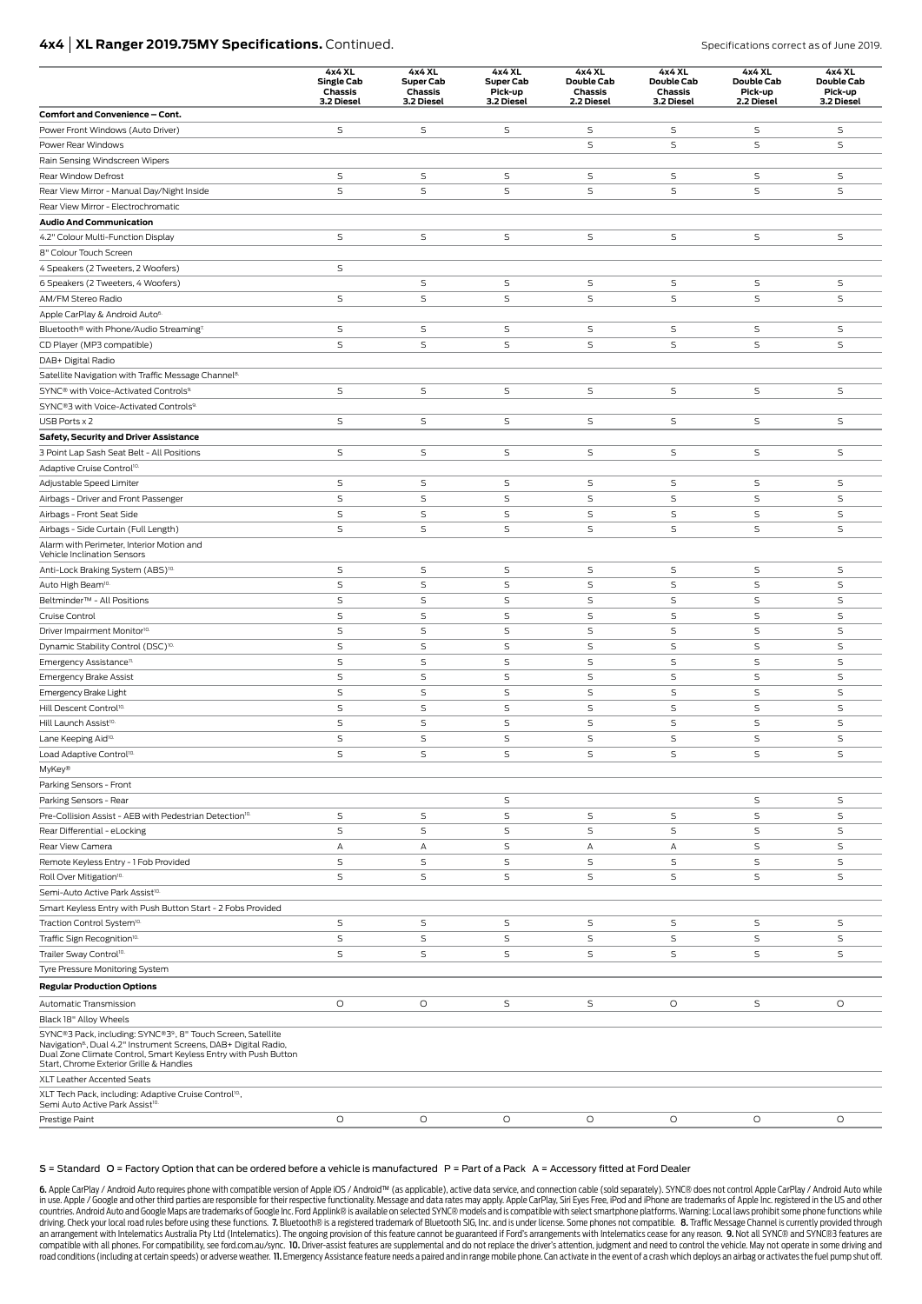# **4x4 | XL Ranger 2019.75MY Specifications.** Continued. Specifications correct as of June 2019.

|                                                                                                                                                                                                                                                          | 4x4 XL<br><b>Single Cab</b><br>Chassis<br>3.2 Diesel | 4x4 XL<br><b>Super Cab</b><br>Chassis<br>3.2 Diesel | 4x4 XL<br>Super Cab<br>Pick-up<br>3.2 Diesel | 4x4 XL<br>Double Cab<br>Chassis<br>2.2 Diesel | 4x4 XL<br>Double Cab<br>Chassis<br>3.2 Diesel | 4x4 XL<br>Double Cab<br>Pick-up<br>2.2 Diesel | 4x4 XL<br>Double Cab<br>Pick-up<br>3.2 Diesel |
|----------------------------------------------------------------------------------------------------------------------------------------------------------------------------------------------------------------------------------------------------------|------------------------------------------------------|-----------------------------------------------------|----------------------------------------------|-----------------------------------------------|-----------------------------------------------|-----------------------------------------------|-----------------------------------------------|
| Comfort and Convenience - Cont.                                                                                                                                                                                                                          |                                                      |                                                     |                                              |                                               |                                               |                                               |                                               |
| Power Front Windows (Auto Driver)                                                                                                                                                                                                                        | $\mathsf S$                                          | S                                                   | S                                            | S                                             | S                                             | S                                             | S                                             |
| Power Rear Windows                                                                                                                                                                                                                                       |                                                      |                                                     |                                              | S                                             | $\mathsf S$                                   | S                                             | S                                             |
| Rain Sensing Windscreen Wipers                                                                                                                                                                                                                           |                                                      |                                                     |                                              |                                               |                                               |                                               |                                               |
| Rear Window Defrost                                                                                                                                                                                                                                      | $\mathsf S$                                          | S                                                   | S                                            | S                                             | S                                             | S                                             | S                                             |
| Rear View Mirror - Manual Day/Night Inside                                                                                                                                                                                                               | $\mathsf S$                                          | S                                                   | $\mathsf S$                                  | S                                             | $\mathsf S$                                   | S                                             | S                                             |
| Rear View Mirror - Electrochromatic                                                                                                                                                                                                                      |                                                      |                                                     |                                              |                                               |                                               |                                               |                                               |
| <b>Audio And Communication</b>                                                                                                                                                                                                                           |                                                      |                                                     |                                              |                                               |                                               |                                               |                                               |
| 4.2" Colour Multi-Function Display                                                                                                                                                                                                                       | $\mathsf S$                                          | S                                                   | S                                            | S                                             | S                                             | S                                             | S                                             |
| 8" Colour Touch Screen                                                                                                                                                                                                                                   |                                                      |                                                     |                                              |                                               |                                               |                                               |                                               |
| 4 Speakers (2 Tweeters, 2 Woofers)                                                                                                                                                                                                                       | $\mathsf S$                                          |                                                     |                                              |                                               |                                               |                                               |                                               |
| 6 Speakers (2 Tweeters, 4 Woofers)                                                                                                                                                                                                                       |                                                      | S                                                   | S                                            | S                                             | S                                             | S                                             | S                                             |
| AM/FM Stereo Radio                                                                                                                                                                                                                                       | $\mathsf S$                                          | S                                                   | S                                            | S                                             | $\mathsf S$                                   | S                                             | S                                             |
| Apple CarPlay & Android Auto <sup>6.</sup>                                                                                                                                                                                                               |                                                      |                                                     |                                              |                                               |                                               |                                               |                                               |
| Bluetooth® with Phone/Audio Streaming <sup>7</sup>                                                                                                                                                                                                       | $\mathsf S$                                          | S                                                   | $\mathsf S$                                  | S                                             | $\mathsf S$                                   | S                                             | S                                             |
| CD Player (MP3 compatible)                                                                                                                                                                                                                               | $\mathsf S$                                          | S                                                   | S                                            | S                                             | S                                             | S                                             | S                                             |
| DAB+ Digital Radio                                                                                                                                                                                                                                       |                                                      |                                                     |                                              |                                               |                                               |                                               |                                               |
| Satellite Navigation with Traffic Message Channel <sup>8.</sup>                                                                                                                                                                                          |                                                      |                                                     |                                              |                                               |                                               |                                               |                                               |
| SYNC® with Voice-Activated Controls <sup>9.</sup>                                                                                                                                                                                                        | $\mathsf S$                                          | S                                                   | S                                            | S                                             | S                                             | S                                             | S                                             |
| SYNC®3 with Voice-Activated Controls <sup>9.</sup>                                                                                                                                                                                                       |                                                      |                                                     |                                              |                                               |                                               |                                               |                                               |
| USB Ports x 2                                                                                                                                                                                                                                            | $\mathsf S$                                          | S                                                   | S                                            | S                                             | $\mathsf S$                                   | S                                             | S                                             |
| <b>Safety, Security and Driver Assistance</b>                                                                                                                                                                                                            |                                                      |                                                     |                                              |                                               |                                               |                                               |                                               |
| 3 Point Lap Sash Seat Belt - All Positions                                                                                                                                                                                                               | $\mathsf S$                                          | S                                                   | S                                            | S                                             | $\mathsf S$                                   | S                                             | S                                             |
| Adaptive Cruise Control <sup>10.</sup>                                                                                                                                                                                                                   |                                                      |                                                     |                                              |                                               |                                               |                                               |                                               |
| Adjustable Speed Limiter                                                                                                                                                                                                                                 | $\mathsf S$<br>$\mathsf S$                           | S<br>S                                              | S<br>$\mathsf S$                             | S<br>S                                        | S<br>$\mathsf S$                              | S<br>S                                        | S<br>S                                        |
| Airbags - Driver and Front Passenger                                                                                                                                                                                                                     |                                                      |                                                     |                                              |                                               |                                               |                                               |                                               |
| Airbags - Front Seat Side<br>Airbags - Side Curtain (Full Length)                                                                                                                                                                                        | $\mathsf S$<br>S                                     | S<br>S                                              | $\mathsf S$<br>S                             | S<br>S                                        | $\mathsf S$<br>S                              | S<br>S                                        | $\mathsf S$<br>S                              |
|                                                                                                                                                                                                                                                          |                                                      |                                                     |                                              |                                               |                                               |                                               |                                               |
| Alarm with Perimeter, Interior Motion and<br>Vehicle Inclination Sensors                                                                                                                                                                                 |                                                      |                                                     |                                              |                                               |                                               |                                               |                                               |
| Anti-Lock Braking System (ABS) <sup>10.</sup>                                                                                                                                                                                                            | $\mathsf S$                                          | S                                                   | S                                            | S                                             | $\mathsf S$                                   | S                                             | $\mathsf S$                                   |
| Auto High Beam <sup>10.</sup>                                                                                                                                                                                                                            | $\mathsf S$                                          | S                                                   | S                                            | S                                             | $\mathsf S$                                   | S                                             | S                                             |
| Beltminder <sup>™</sup> - All Positions                                                                                                                                                                                                                  | $\mathsf S$                                          | $\mathsf S$                                         | $\mathsf S$                                  | S                                             | S                                             | S                                             | S                                             |
| Cruise Control                                                                                                                                                                                                                                           | $\mathsf S$                                          | S                                                   | $\mathsf S$                                  | S                                             | $\mathsf S$                                   | S                                             | S                                             |
| Driver Impairment Monitor <sup>10.</sup>                                                                                                                                                                                                                 | $\mathsf S$                                          | S                                                   | S                                            | S                                             | S                                             | S                                             | $\mathsf S$                                   |
| Dynamic Stability Control (DSC) <sup>10.</sup>                                                                                                                                                                                                           | $\mathsf S$                                          | S                                                   | $\mathsf S$                                  | S                                             | $\mathsf S$                                   | S                                             | $\mathsf S$                                   |
| Emergency Assistance <sup>11.</sup>                                                                                                                                                                                                                      | $\mathsf S$                                          | S                                                   | $\mathsf S$                                  | S                                             | $\mathsf S$                                   | S                                             | S                                             |
| <b>Emergency Brake Assist</b>                                                                                                                                                                                                                            | $\mathsf S$                                          | $\mathsf S$                                         | S                                            | S                                             | $\mathsf S$                                   | S                                             | $\mathsf S$                                   |
| Emergency Brake Light                                                                                                                                                                                                                                    | $\mathsf S$                                          | S                                                   | $\mathsf S$                                  | S                                             | $\mathsf S$                                   | S                                             | $\mathsf S$                                   |
| Hill Descent Control <sup>10.</sup>                                                                                                                                                                                                                      | $\mathsf S$                                          | S                                                   | $\mathsf S$                                  | S                                             | $\mathsf S$                                   | S                                             | S                                             |
| Hill Launch Assist <sup>10.</sup>                                                                                                                                                                                                                        | S                                                    | S                                                   | S                                            | $\mathsf S$                                   | S                                             | S                                             | S                                             |
| Lane Keeping Aid <sup>10.</sup>                                                                                                                                                                                                                          | S                                                    | S                                                   | S                                            | S                                             | S                                             | S                                             | $\sf S$                                       |
| Load Adaptive Control <sup>10.</sup>                                                                                                                                                                                                                     | S                                                    | S                                                   | S                                            | S                                             | S                                             | S                                             | S                                             |
| <b>MyKey®</b>                                                                                                                                                                                                                                            |                                                      |                                                     |                                              |                                               |                                               |                                               |                                               |
| Parking Sensors - Front                                                                                                                                                                                                                                  |                                                      |                                                     |                                              |                                               |                                               |                                               |                                               |
| Parking Sensors - Rear                                                                                                                                                                                                                                   |                                                      |                                                     | S                                            |                                               |                                               | S                                             | S                                             |
| Pre-Collision Assist - AEB with Pedestrian Detection <sup>10.</sup>                                                                                                                                                                                      | $\mathsf S$                                          | S                                                   | $\mathsf S$                                  | S                                             | S                                             | S                                             | $\mathsf S$                                   |
| Rear Differential - eLocking                                                                                                                                                                                                                             | $\mathsf S$                                          | S                                                   | S                                            | S                                             | S                                             | S                                             | S                                             |
| Rear View Camera                                                                                                                                                                                                                                         | А                                                    | А                                                   | S                                            | А                                             | А                                             | S                                             | S                                             |
| Remote Keyless Entry - 1 Fob Provided                                                                                                                                                                                                                    | $\mathsf S$                                          | S                                                   | $\mathsf S$                                  | S                                             | $\mathsf S$                                   | S                                             | S                                             |
| Roll Over Mitigation <sup>10.</sup>                                                                                                                                                                                                                      | $\mathsf S$                                          | S                                                   | S                                            | S                                             | S                                             | S                                             | S                                             |
| Semi-Auto Active Park Assist <sup>10.</sup>                                                                                                                                                                                                              |                                                      |                                                     |                                              |                                               |                                               |                                               |                                               |
| Smart Keyless Entry with Push Button Start - 2 Fobs Provided                                                                                                                                                                                             |                                                      |                                                     |                                              |                                               |                                               |                                               |                                               |
| Traction Control System <sup>10.</sup>                                                                                                                                                                                                                   | $\mathsf S$                                          | S                                                   | S                                            | S                                             | S                                             | S                                             | S                                             |
| Traffic Sign Recognition <sup>10.</sup>                                                                                                                                                                                                                  | $\mathsf S$                                          | S                                                   | S                                            | S                                             | S                                             | S                                             | S                                             |
| Trailer Sway Control <sup>10.</sup>                                                                                                                                                                                                                      | $\mathsf S$                                          | S                                                   | $\mathsf S$                                  | S                                             | S                                             | S                                             | S                                             |
| Tyre Pressure Monitoring System                                                                                                                                                                                                                          |                                                      |                                                     |                                              |                                               |                                               |                                               |                                               |
| <b>Regular Production Options</b>                                                                                                                                                                                                                        |                                                      |                                                     |                                              |                                               |                                               |                                               |                                               |
| Automatic Transmission                                                                                                                                                                                                                                   | $\circ$                                              | $\circ$                                             | S                                            | S                                             | $\circ$                                       | S                                             | O                                             |
| Black 18" Alloy Wheels                                                                                                                                                                                                                                   |                                                      |                                                     |                                              |                                               |                                               |                                               |                                               |
| SYNC®3 Pack, including: SYNC®39, 8" Touch Screen, Satellite<br>Navigation <sup>8</sup> , Dual 4.2" Instrument Screens, DAB+ Digital Radio,<br>Dual Zone Climate Control, Smart Keyless Entry with Push Button<br>Start, Chrome Exterior Grille & Handles |                                                      |                                                     |                                              |                                               |                                               |                                               |                                               |
| XLT Leather Accented Seats                                                                                                                                                                                                                               |                                                      |                                                     |                                              |                                               |                                               |                                               |                                               |
| XLT Tech Pack, including: Adaptive Cruise Control <sup>10</sup> ,<br>Semi Auto Active Park Assist <sup>10.</sup>                                                                                                                                         |                                                      |                                                     |                                              |                                               |                                               |                                               |                                               |
| Prestige Paint                                                                                                                                                                                                                                           | O                                                    | O                                                   | $\circ$                                      | O                                             | O                                             | O                                             | O                                             |

#### S = Standard O = Factory Option that can be ordered before a vehicle is manufactured P = Part of a Pack A = Accessory fitted at Ford Dealer

6. Apple CarPlay / Android Auto requires phone with compatible version of Apple iOS / Android™ (as applicable), active data service, and connection cable (sold separately). SYNC® does not control Apple CarPlay / Android A countries. Android Auto and Google Maps are trademarks of Google Inc. Ford Applink® is available on selected SYNC® models and is compatible with select smartphone platforms. Warning: Local laws prohibit some phone function an arrangement with Intelematics Australia Pty Ltd (Intelematics). The ongoing provision of this feature cannot be guaranteed if Ford's arrangements with Intelematics cease for any reason. 9. Not all SYNC® and SYNC®3 featu compatible with all phones. For compatibility, see ford.com.au/sync. 10. Driver-assist features are supplemental and do not replace the driver's attention, judgment and need to control the vehicle. May not operate in some road conditions (including at certain speeds) or adverse weather. II. Emergency Assistance feature needs a paired and in range mobile phone. Can activate in the event of a crash which deploys an airbag or activates the fue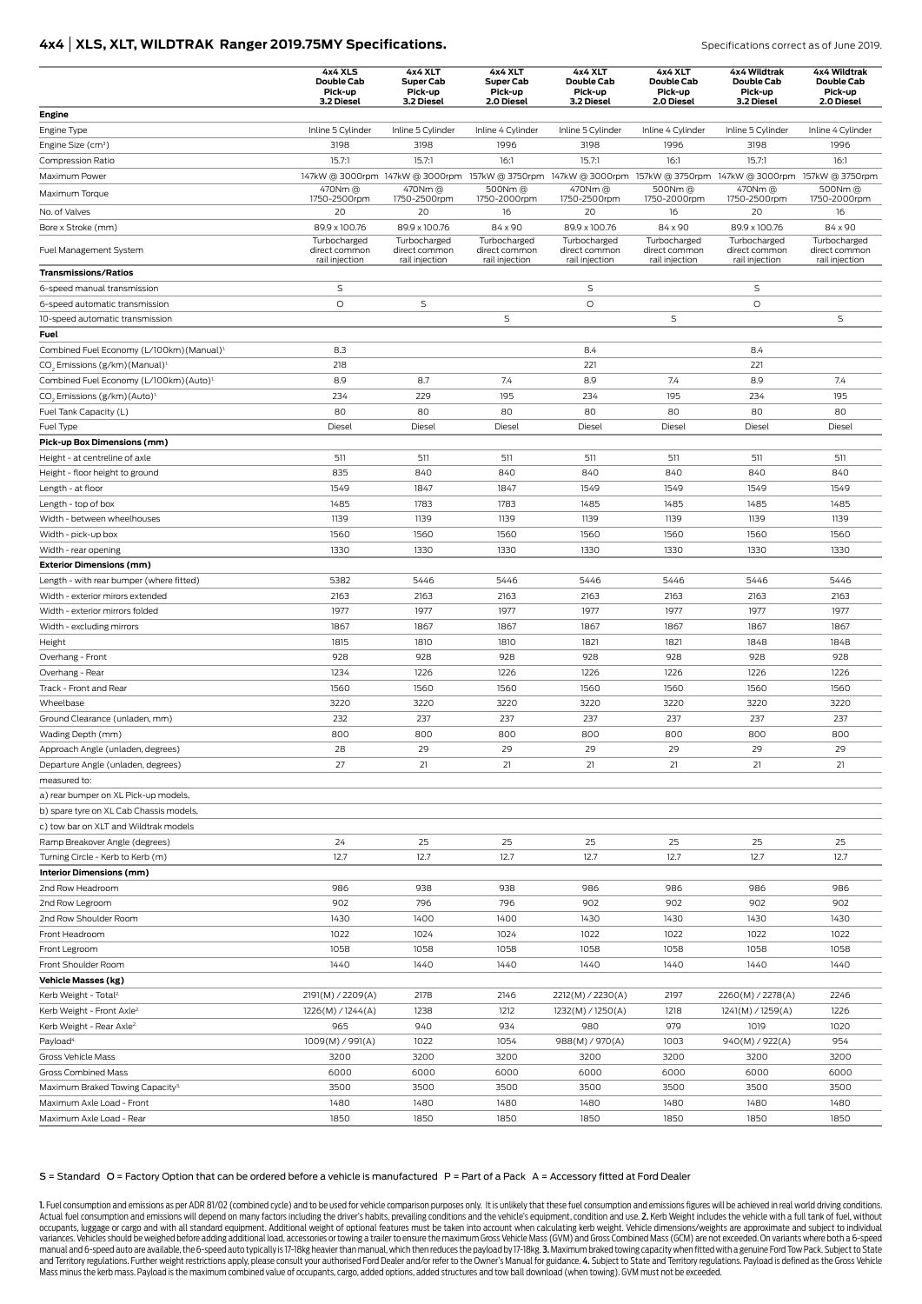### **4x4 | XLS, XLT, WILDTRAK Ranger 2019.75MY Specifications. Specifications Correct as of June 2019.**

|                                                        | 4x4 XLS<br>Double Cab<br>Pick-up                | 4x4 XLT<br><b>Super Cab</b><br>Pick-up          | 4x4 XLT<br><b>Super Cab</b><br>Pick-up          | 4x4 XLT<br>Double Cab<br>Pick-up                                                                                | 4x4 XLT<br>Double Cab<br>Pick-up                | 4x4 Wildtrak<br>Double Cab<br>Pick-up | 4x4 Wildtrak<br>Double Cab<br>Pick-up           |
|--------------------------------------------------------|-------------------------------------------------|-------------------------------------------------|-------------------------------------------------|-----------------------------------------------------------------------------------------------------------------|-------------------------------------------------|---------------------------------------|-------------------------------------------------|
|                                                        | 3.2 Diesel                                      | 3.2 Diesel                                      | 2.0 Diesel                                      | 3.2 Diesel                                                                                                      | 2.0 Diesel                                      | 3.2 Diesel                            | 2.0 Diesel                                      |
| Engine<br>Engine Type                                  | Inline 5 Cylinder                               | Inline 5 Cylinder                               | Inline 4 Cylinder                               | Inline 5 Cylinder                                                                                               | Inline 4 Cylinder                               | Inline 5 Cylinder                     | Inline 4 Cylinder                               |
| Engine Size (cm <sup>3</sup> )                         | 3198                                            | 3198                                            | 1996                                            | 3198                                                                                                            | 1996                                            | 3198                                  | 1996                                            |
| Compression Ratio                                      | 15.7:1                                          | 15.7:1                                          | 16:1                                            | 15.7:1                                                                                                          | 16:1                                            | 15.7:1                                | 16:1                                            |
| Maximum Power                                          |                                                 |                                                 |                                                 | 147kW @ 3000rpm 147kW @ 3000rpm 157kW @ 3750rpm 147kW @ 3000rpm 157kW @ 3750rpm 147kW @ 3000rpm 157kW @ 3750rpm |                                                 |                                       |                                                 |
|                                                        | 470Nm @                                         | 470Nm @                                         | 500Nm@                                          | 470Nm @                                                                                                         | 500Nm@                                          | 470Nm @                               | 500Nm@                                          |
| Maximum Torque                                         | 1750-2500rpm                                    | 1750-2500rpm                                    | 1750-2000rpm                                    | 1750-2500rpm                                                                                                    | 1750-2000rpm                                    | 1750-2500rpm                          | 1750-2000rpm                                    |
| No. of Valves                                          | 20                                              | 20                                              | 16                                              | 20                                                                                                              | 16                                              | 20                                    | 16                                              |
| Bore x Stroke (mm)                                     | 89.9 x 100.76                                   | 89.9 x 100.76                                   | 84 x 90                                         | 89.9 x 100.76                                                                                                   | 84 x 90                                         | 89.9 x 100.76<br>Turbocharged         | 84 x 90                                         |
| Fuel Management System                                 | Turbocharged<br>direct common<br>rail injection | Turbocharged<br>direct common<br>rail injection | Turbocharged<br>direct common<br>rail injection | Turbocharged<br>direct common<br>rail injection                                                                 | Turbocharged<br>direct common<br>rail injection | direct common<br>rail injection       | Turbocharged<br>direct common<br>rail injection |
| <b>Transmissions/Ratios</b>                            |                                                 |                                                 |                                                 |                                                                                                                 |                                                 |                                       |                                                 |
| 6-speed manual transmission                            | S                                               |                                                 |                                                 | S                                                                                                               |                                                 | S                                     |                                                 |
| 6-speed automatic transmission                         | O                                               | S                                               |                                                 | O                                                                                                               |                                                 | O                                     |                                                 |
| 10-speed automatic transmission                        |                                                 |                                                 | $\mathsf S$                                     |                                                                                                                 | $\mathsf S$                                     |                                       | S                                               |
| Fuel                                                   |                                                 |                                                 |                                                 |                                                                                                                 |                                                 |                                       |                                                 |
| Combined Fuel Economy (L/100km) (Manual) <sup>1.</sup> | 8.3                                             |                                                 |                                                 | 8.4                                                                                                             |                                                 | 8.4                                   |                                                 |
| CO <sub>2</sub> Emissions (g/km) (Manual) <sup>1</sup> | 218                                             |                                                 |                                                 | 221                                                                                                             |                                                 | 221                                   |                                                 |
| Combined Fuel Economy (L/100km) (Auto) <sup>1.</sup>   | 8.9                                             | 8.7                                             | 7.4                                             | 8.9                                                                                                             | 7.4                                             | 8.9                                   | 7.4                                             |
| CO <sub>2</sub> Emissions (g/km) (Auto) <sup>1.</sup>  | 234                                             | 229                                             | 195                                             | 234                                                                                                             | 195                                             | 234                                   | 195                                             |
| Fuel Tank Capacity (L)                                 | 80                                              | 80                                              | 80                                              | 80                                                                                                              | 80                                              | 80                                    | 80                                              |
| Fuel Type                                              | Diesel                                          | Diesel                                          | Diesel                                          | Diesel                                                                                                          | Diesel                                          | Diesel                                | Diesel                                          |
| Pick-up Box Dimensions (mm)                            |                                                 |                                                 |                                                 |                                                                                                                 |                                                 |                                       |                                                 |
| Height - at centreline of axle                         | 511                                             | 511                                             | 511                                             | 511                                                                                                             | 511                                             | 511                                   | 511                                             |
| Height - floor height to ground                        | 835                                             | 840                                             | 840                                             | 840                                                                                                             | 840                                             | 840                                   | 840                                             |
| Length - at floor                                      | 1549                                            | 1847                                            | 1847                                            | 1549                                                                                                            | 1549                                            | 1549                                  | 1549                                            |
| Length - top of box                                    | 1485                                            | 1783                                            | 1783                                            | 1485                                                                                                            | 1485                                            | 1485                                  | 1485                                            |
| Width - between wheelhouses                            | 1139                                            | 1139                                            | 1139                                            | 1139                                                                                                            | 1139                                            | 1139                                  | 1139                                            |
| Width - pick-up box                                    | 1560                                            | 1560                                            | 1560                                            | 1560                                                                                                            | 1560                                            | 1560                                  | 1560                                            |
| Width - rear opening                                   | 1330                                            | 1330                                            | 1330                                            | 1330                                                                                                            | 1330                                            | 1330                                  | 1330                                            |
| <b>Exterior Dimensions (mm)</b>                        |                                                 |                                                 |                                                 |                                                                                                                 |                                                 |                                       |                                                 |
| Length - with rear bumper (where fitted)               | 5382                                            | 5446                                            | 5446                                            | 5446                                                                                                            | 5446                                            | 5446                                  | 5446                                            |
| Width - exterior mirors extended                       | 2163                                            | 2163                                            | 2163                                            | 2163                                                                                                            | 2163                                            | 2163                                  | 2163                                            |
| Width - exterior mirrors folded                        | 1977                                            | 1977                                            | 1977                                            | 1977                                                                                                            | 1977                                            | 1977                                  | 1977                                            |
| Width - excluding mirrors                              | 1867                                            | 1867                                            | 1867                                            | 1867                                                                                                            | 1867                                            | 1867                                  | 1867                                            |
| Height                                                 | 1815                                            | 1810                                            | 1810                                            | 1821                                                                                                            | 1821                                            | 1848                                  | 1848                                            |
| Overhang - Front                                       | 928                                             | 928                                             | 928                                             | 928                                                                                                             | 928                                             | 928                                   | 928                                             |
| Overhang - Rear                                        | 1234                                            | 1226                                            | 1226                                            | 1226                                                                                                            | 1226                                            | 1226                                  | 1226                                            |
| Track - Front and Rear                                 | 1560                                            | 1560                                            | 1560                                            | 1560                                                                                                            | 1560                                            | 1560                                  | 1560                                            |
| Wheelbase                                              | 3220                                            | 3220                                            | 3220                                            | 3220                                                                                                            | 3220                                            | 3220                                  | 3220                                            |
| Ground Clearance (unladen, mm)                         | 232                                             | 237                                             | 237                                             | 237                                                                                                             | 237                                             | 237                                   | 237                                             |
| Wading Depth (mm)                                      | 800                                             | 800                                             | 800                                             | 800                                                                                                             | 800                                             | 800                                   | 800                                             |
| Approach Angle (unladen, degrees)                      | 28                                              | 29                                              | 29                                              | 29                                                                                                              | 29                                              | 29                                    | 29                                              |
| Departure Angle (unladen, degrees)                     | 27                                              | 21                                              | 21                                              | 21                                                                                                              | 21                                              | 21                                    | 21                                              |
| measured to:                                           |                                                 |                                                 |                                                 |                                                                                                                 |                                                 |                                       |                                                 |
| a) rear bumper on XL Pick-up models,                   |                                                 |                                                 |                                                 |                                                                                                                 |                                                 |                                       |                                                 |
| b) spare tyre on XL Cab Chassis models,                |                                                 |                                                 |                                                 |                                                                                                                 |                                                 |                                       |                                                 |
| c) tow bar on XLT and Wildtrak models                  |                                                 |                                                 |                                                 |                                                                                                                 |                                                 |                                       |                                                 |
| Ramp Breakover Angle (degrees)                         | 24                                              | 25                                              | 25                                              | 25                                                                                                              | 25                                              | 25                                    | 25                                              |
| Turning Circle - Kerb to Kerb (m)                      | 12.7                                            | 12.7                                            | 12.7                                            | 12.7                                                                                                            | 12.7                                            | 12.7                                  | 12.7                                            |
| Interior Dimensions (mm)                               |                                                 |                                                 |                                                 |                                                                                                                 |                                                 |                                       |                                                 |
| 2nd Row Headroom                                       | 986                                             | 938                                             | 938                                             | 986                                                                                                             | 986                                             | 986                                   | 986                                             |
| 2nd Row Legroom                                        | 902                                             | 796                                             | 796                                             | 902                                                                                                             | 902                                             | 902                                   | 902                                             |
| 2nd Row Shoulder Room                                  | 1430                                            | 1400                                            | 1400                                            | 1430                                                                                                            | 1430                                            | 1430                                  | 1430                                            |
| Front Headroom                                         | 1022                                            | 1024                                            | 1024                                            | 1022                                                                                                            | 1022                                            | 1022                                  | 1022                                            |
| Front Legroom                                          | 1058                                            | 1058                                            | 1058                                            | 1058                                                                                                            | 1058                                            | 1058                                  | 1058                                            |
| Front Shoulder Room                                    | 1440                                            | 1440                                            | 1440                                            | 1440                                                                                                            | 1440                                            | 1440                                  | 1440                                            |
| <b>Vehicle Masses (kg)</b>                             |                                                 |                                                 |                                                 |                                                                                                                 |                                                 |                                       |                                                 |
| Kerb Weight - Total <sup>2</sup>                       | 2191(M) / 2209(A)                               | 2178                                            | 2146                                            | 2212(M) / 2230(A)                                                                                               | 2197                                            | 2260(M) / 2278(A)                     | 2246                                            |
| Kerb Weight - Front Axle <sup>2.</sup>                 | 1226(M) / 1244(A)                               | 1238                                            | 1212                                            | 1232(M) / 1250(A)                                                                                               | 1218                                            | 1241(M) / 1259(A)                     | 1226                                            |
| Kerb Weight - Rear Axle <sup>2.</sup>                  | 965                                             | 940                                             | 934                                             | 980                                                                                                             | 979                                             | 1019                                  | 1020                                            |
| Payload <sup>4.</sup>                                  | 1009(M) / 991(A)                                | 1022                                            | 1054                                            | 988(M) / 970(A)                                                                                                 | 1003                                            | 940(M) / 922(A)                       | 954                                             |
| Gross Vehicle Mass                                     | 3200                                            | 3200                                            | 3200                                            | 3200                                                                                                            | 3200                                            | 3200                                  | 3200                                            |
| Gross Combined Mass                                    | 6000                                            | 6000                                            | 6000                                            | 6000                                                                                                            | 6000                                            | 6000                                  | 6000                                            |
| Maximum Braked Towing Capacity <sup>3.</sup>           | 3500                                            | 3500                                            | 3500                                            | 3500                                                                                                            | 3500                                            | 3500                                  | 3500                                            |
| Maximum Axle Load - Front                              | 1480                                            | 1480                                            | 1480                                            | 1480                                                                                                            | 1480                                            | 1480                                  | 1480                                            |
| Maximum Axle Load - Rear                               | 1850                                            | 1850                                            | 1850                                            | 1850                                                                                                            | 1850                                            | 1850                                  | 1850                                            |

#### S = Standard O = Factory Option that can be ordered before a vehicle is manufactured P = Part of a Pack A = Accessory fitted at Ford Dealer

1. Fuel consumption and emissions as per ADR 81/02 (combined cycle) and to be used for vehicle comparison purposes only. It is unlikely that these fuel consumption and emissions figures will be achieved in real world drivi Actual fuel consumption and emissions will depend on many factors including the driver's habits, prevailing conditions and the vehicle's equipment, condition and use. 2. Kerb Weight includes the vehicle with a full tank of occupants, luggage or cargo and with all standard equipment. Additional weight of optional features must be taken into account when calculating kerb weight. Vehicle dimensions/weights are approximate and subject to individ variances. Vehicles should be weighed before adding additional load, accessories or towing a trailer to ensure the maximum Gross Vehicle Mass (GVM) and Gross Combined Mass (GCM) are not exceeded. On variants where both a 6 Mass minus the kerb mass. Payload is the maximum combined value of occupants, cargo, added options, added structures and tow ball download (when towing). GVM must not be exceeded.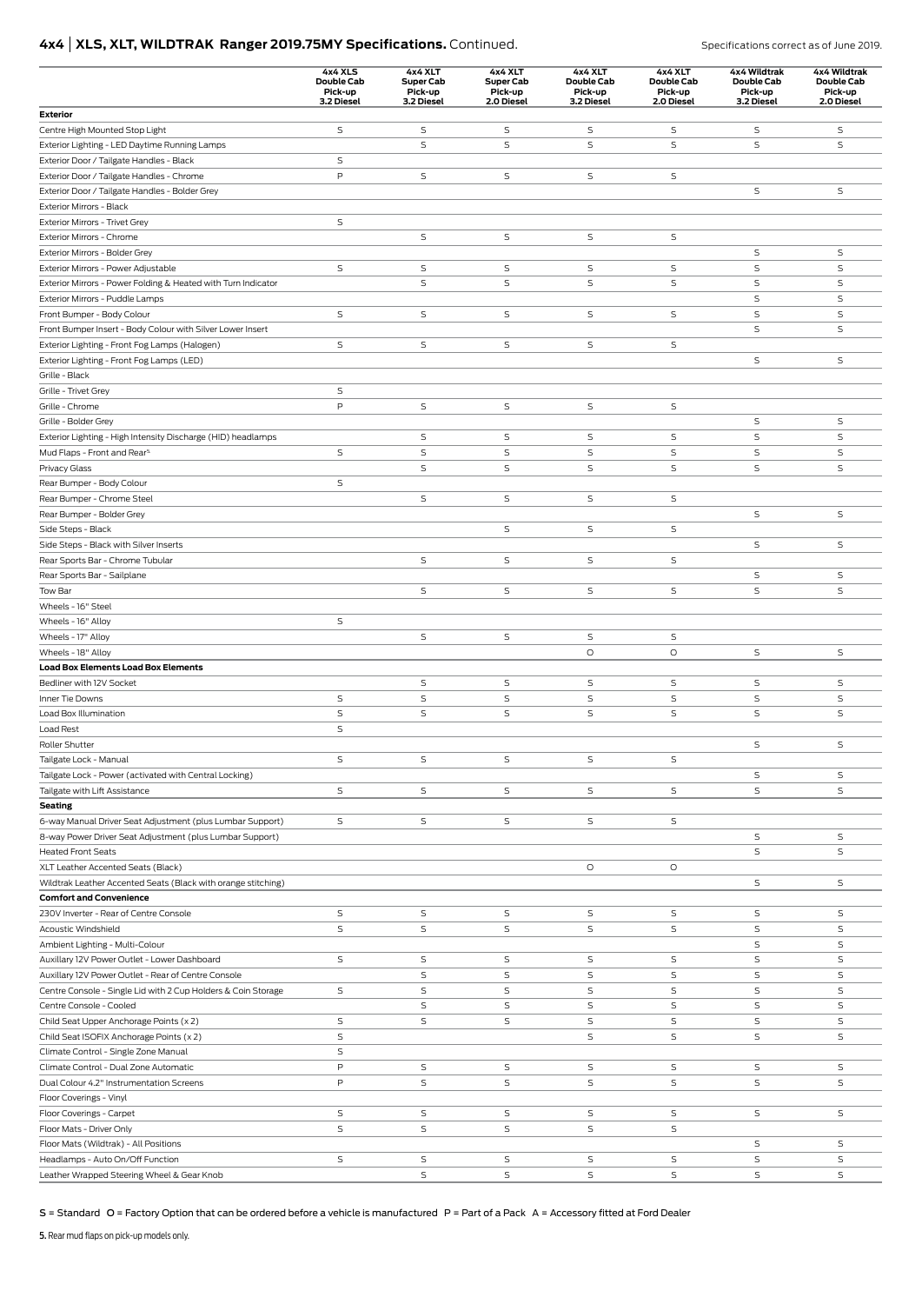# **4x4 | XLS, XLT, WILDTRAK Ranger 2019.75MY Specifications.** Continued. Specifications correct as of June 2019.

|                                                                                                  | 4x4 XLS<br>Double Cab<br>Pick-up<br>3.2 Diesel | 4x4 XLT<br><b>Super Cab</b><br>Pick-up<br>3.2 Diesel | 4x4 XLT<br>Super Cab<br>Pick-up<br>2.0 Diesel | 4x4 XLT<br><b>Double Cab</b><br>Pick-up<br>3.2 Diesel | 4x4 XLT<br>Double Cab<br>Pick-up<br>2.0 Diesel | 4x4 Wildtrak<br>Double Cab<br>Pick-up<br>3.2 Diesel | 4x4 Wildtrak<br>Double Cab<br>Pick-up<br>2.0 Diesel |
|--------------------------------------------------------------------------------------------------|------------------------------------------------|------------------------------------------------------|-----------------------------------------------|-------------------------------------------------------|------------------------------------------------|-----------------------------------------------------|-----------------------------------------------------|
| Exterior                                                                                         |                                                |                                                      |                                               |                                                       |                                                |                                                     |                                                     |
| Centre High Mounted Stop Light                                                                   | S                                              | S                                                    | S                                             | S                                                     | S                                              | S                                                   | S                                                   |
| Exterior Lighting - LED Daytime Running Lamps                                                    |                                                | S                                                    | S                                             | S                                                     | S                                              | S                                                   | S                                                   |
| Exterior Door / Tailgate Handles - Black                                                         | S                                              |                                                      |                                               |                                                       |                                                |                                                     |                                                     |
| Exterior Door / Tailgate Handles - Chrome                                                        | P                                              | S                                                    | S                                             | S                                                     | $\mathsf S$                                    |                                                     |                                                     |
| Exterior Door / Tailgate Handles - Bolder Grey                                                   |                                                |                                                      |                                               |                                                       |                                                | S                                                   | $\mathsf S$                                         |
| Exterior Mirrors - Black                                                                         |                                                |                                                      |                                               |                                                       |                                                |                                                     |                                                     |
| Exterior Mirrors - Trivet Grey                                                                   | S                                              |                                                      |                                               |                                                       |                                                |                                                     |                                                     |
| Exterior Mirrors - Chrome                                                                        |                                                | S                                                    | S                                             | S                                                     | S                                              |                                                     |                                                     |
| Exterior Mirrors - Bolder Grey                                                                   | S                                              |                                                      |                                               |                                                       | $\mathsf S$                                    | S<br>S                                              | S<br>S                                              |
| Exterior Mirrors - Power Adjustable                                                              |                                                | S<br>S                                               | S<br>S                                        | S<br>S                                                | S                                              | S                                                   | S                                                   |
| Exterior Mirrors - Power Folding & Heated with Turn Indicator<br>Exterior Mirrors - Puddle Lamps |                                                |                                                      |                                               |                                                       |                                                | S                                                   | S                                                   |
| Front Bumper - Body Colour                                                                       | $\mathsf S$                                    | S                                                    | $\mathsf S$                                   | S                                                     | $\mathsf S$                                    | S                                                   | S                                                   |
| Front Bumper Insert - Body Colour with Silver Lower Insert                                       |                                                |                                                      |                                               |                                                       |                                                | S                                                   | S                                                   |
| Exterior Lighting - Front Fog Lamps (Halogen)                                                    | S                                              | S                                                    | S                                             | S                                                     | S                                              |                                                     |                                                     |
| Exterior Lighting - Front Fog Lamps (LED)                                                        |                                                |                                                      |                                               |                                                       |                                                | S                                                   | $\mathsf S$                                         |
| Grille - Black                                                                                   |                                                |                                                      |                                               |                                                       |                                                |                                                     |                                                     |
| Grille - Trivet Grey                                                                             | $\mathsf S$                                    |                                                      |                                               |                                                       |                                                |                                                     |                                                     |
| Grille - Chrome                                                                                  | P                                              | S                                                    | S                                             | S                                                     | $\mathsf S$                                    |                                                     |                                                     |
| Grille - Bolder Grey                                                                             |                                                |                                                      |                                               |                                                       |                                                | S                                                   | $\mathsf S$                                         |
| Exterior Lighting - High Intensity Discharge (HID) headlamps                                     |                                                | S                                                    | S                                             | S                                                     | S                                              | S                                                   | $\mathsf S$                                         |
| Mud Flaps - Front and Rear <sup>5.</sup>                                                         | $\mathsf S$                                    | S                                                    | S                                             | S                                                     | S                                              | S                                                   | $\mathsf S$                                         |
| Privacy Glass                                                                                    |                                                | S                                                    | $\mathsf S$                                   | S                                                     | $\mathsf S$                                    | S                                                   | $\mathsf S$                                         |
| Rear Bumper - Body Colour                                                                        | S                                              |                                                      |                                               |                                                       |                                                |                                                     |                                                     |
| Rear Bumper - Chrome Steel                                                                       |                                                | S                                                    | S                                             | S                                                     | S                                              |                                                     |                                                     |
| Rear Bumper - Bolder Grey                                                                        |                                                |                                                      |                                               |                                                       |                                                | S                                                   | S                                                   |
| Side Steps - Black                                                                               |                                                |                                                      | S                                             | S                                                     | S                                              |                                                     |                                                     |
| Side Steps - Black with Silver Inserts                                                           |                                                |                                                      |                                               |                                                       |                                                | S                                                   | S                                                   |
| Rear Sports Bar - Chrome Tubular                                                                 |                                                | S                                                    | S                                             | S                                                     | S                                              |                                                     |                                                     |
| Rear Sports Bar - Sailplane                                                                      |                                                |                                                      |                                               |                                                       |                                                | S                                                   | S                                                   |
| Tow Bar                                                                                          |                                                | S                                                    | S                                             | S                                                     | S                                              | S                                                   | S                                                   |
| Wheels - 16" Steel                                                                               |                                                |                                                      |                                               |                                                       |                                                |                                                     |                                                     |
| Wheels - 16" Alloy                                                                               | S                                              |                                                      |                                               |                                                       |                                                |                                                     |                                                     |
| Wheels - 17" Alloy                                                                               |                                                | S                                                    | S                                             | S                                                     | S                                              |                                                     |                                                     |
| Wheels - 18" Alloy                                                                               |                                                |                                                      |                                               | O                                                     | $\circ$                                        | S                                                   | $\mathsf S$                                         |
| <b>Load Box Elements Load Box Elements</b>                                                       |                                                |                                                      |                                               |                                                       |                                                |                                                     |                                                     |
| Bedliner with 12V Socket                                                                         |                                                | S                                                    | S                                             | $\mathsf S$                                           | S                                              | S                                                   | S                                                   |
| Inner Tie Downs                                                                                  | S                                              | S                                                    | S                                             | S                                                     | $\mathsf S$                                    | S                                                   | S                                                   |
| Load Box Illumination                                                                            | S                                              | S                                                    | S                                             | $\mathsf S$                                           | $\mathsf S$                                    | S                                                   | S                                                   |
| Load Rest                                                                                        | S                                              |                                                      |                                               |                                                       |                                                |                                                     |                                                     |
| Roller Shutter                                                                                   |                                                |                                                      |                                               |                                                       |                                                | S                                                   | S                                                   |
| Tailgate Lock - Manual                                                                           | S                                              | S                                                    | S                                             | S                                                     | S                                              |                                                     |                                                     |
| Tailgate Lock - Power (activated with Central Locking)                                           | S                                              |                                                      | S                                             |                                                       | S                                              | S<br>S                                              | S<br>S                                              |
| Tailgate with Lift Assistance                                                                    |                                                | S                                                    |                                               | S                                                     |                                                |                                                     |                                                     |
| <b>Seating</b><br>6-way Manual Driver Seat Adjustment (plus Lumbar Support)                      | S                                              | S                                                    | S                                             | S                                                     | S                                              |                                                     |                                                     |
| 8-way Power Driver Seat Adjustment (plus Lumbar Support)                                         |                                                |                                                      |                                               |                                                       |                                                | S                                                   | S                                                   |
| <b>Heated Front Seats</b>                                                                        |                                                |                                                      |                                               |                                                       |                                                | S                                                   | S                                                   |
| XLT Leather Accented Seats (Black)                                                               |                                                |                                                      |                                               | O                                                     | $\circ$                                        |                                                     |                                                     |
| Wildtrak Leather Accented Seats (Black with orange stitching)                                    |                                                |                                                      |                                               |                                                       |                                                | S                                                   | S                                                   |
| <b>Comfort and Convenience</b>                                                                   |                                                |                                                      |                                               |                                                       |                                                |                                                     |                                                     |
| 230V Inverter - Rear of Centre Console                                                           | S                                              | S                                                    | S                                             | S                                                     | S                                              | S                                                   | S                                                   |
| Acoustic Windshield                                                                              | $\mathsf S$                                    | S                                                    | S                                             | S                                                     | $\mathsf S$                                    | S                                                   | S                                                   |
| Ambient Lighting - Multi-Colour                                                                  |                                                |                                                      |                                               |                                                       |                                                | S                                                   | S                                                   |
| Auxillary 12V Power Outlet - Lower Dashboard                                                     | S                                              | S                                                    | S                                             | S                                                     | S                                              | S                                                   | S                                                   |
| Auxillary 12V Power Outlet - Rear of Centre Console                                              |                                                | S                                                    | S                                             | S                                                     | S                                              | S                                                   | S                                                   |
| Centre Console - Single Lid with 2 Cup Holders & Coin Storage                                    | S                                              | S                                                    | $\mathsf S$                                   | S                                                     | $\mathsf S$                                    | S                                                   | S                                                   |
| Centre Console - Cooled                                                                          |                                                | S                                                    | S                                             | S                                                     | S                                              | S                                                   | S                                                   |
| Child Seat Upper Anchorage Points (x 2)                                                          | S                                              | S                                                    | S                                             | S                                                     | S                                              | S                                                   | S                                                   |
| Child Seat ISOFIX Anchorage Points (x 2)                                                         | S                                              |                                                      |                                               | S                                                     | S                                              | S                                                   | S                                                   |
| Climate Control - Single Zone Manual                                                             | S                                              |                                                      |                                               |                                                       |                                                |                                                     |                                                     |
| Climate Control - Dual Zone Automatic                                                            | P                                              | S                                                    | S                                             | S                                                     | S                                              | S                                                   | S                                                   |
| Dual Colour 4.2" Instrumentation Screens                                                         | P                                              | S                                                    | S                                             | S                                                     | S                                              | S                                                   | S                                                   |
| Floor Coverings - Vinyl                                                                          |                                                |                                                      |                                               |                                                       |                                                |                                                     |                                                     |
| Floor Coverings - Carpet                                                                         | S                                              | S                                                    | S                                             | S                                                     | S                                              | S                                                   | S                                                   |
| Floor Mats - Driver Only                                                                         | S                                              | S                                                    | S                                             | S                                                     | $\mathsf S$                                    |                                                     |                                                     |
| Floor Mats (Wildtrak) - All Positions                                                            |                                                |                                                      |                                               |                                                       |                                                | S                                                   | S                                                   |
| Headlamps - Auto On/Off Function                                                                 | S                                              | S                                                    | S                                             | S                                                     | S                                              | S                                                   | S                                                   |
| Leather Wrapped Steering Wheel & Gear Knob                                                       |                                                | S                                                    | S                                             | S                                                     | $\mathsf S$                                    | S                                                   | S                                                   |

S = Standard O = Factory Option that can be ordered before a vehicle is manufactured P = Part of a Pack A = Accessory fitted at Ford Dealer

5. Rear mud flaps on pick-up models only.